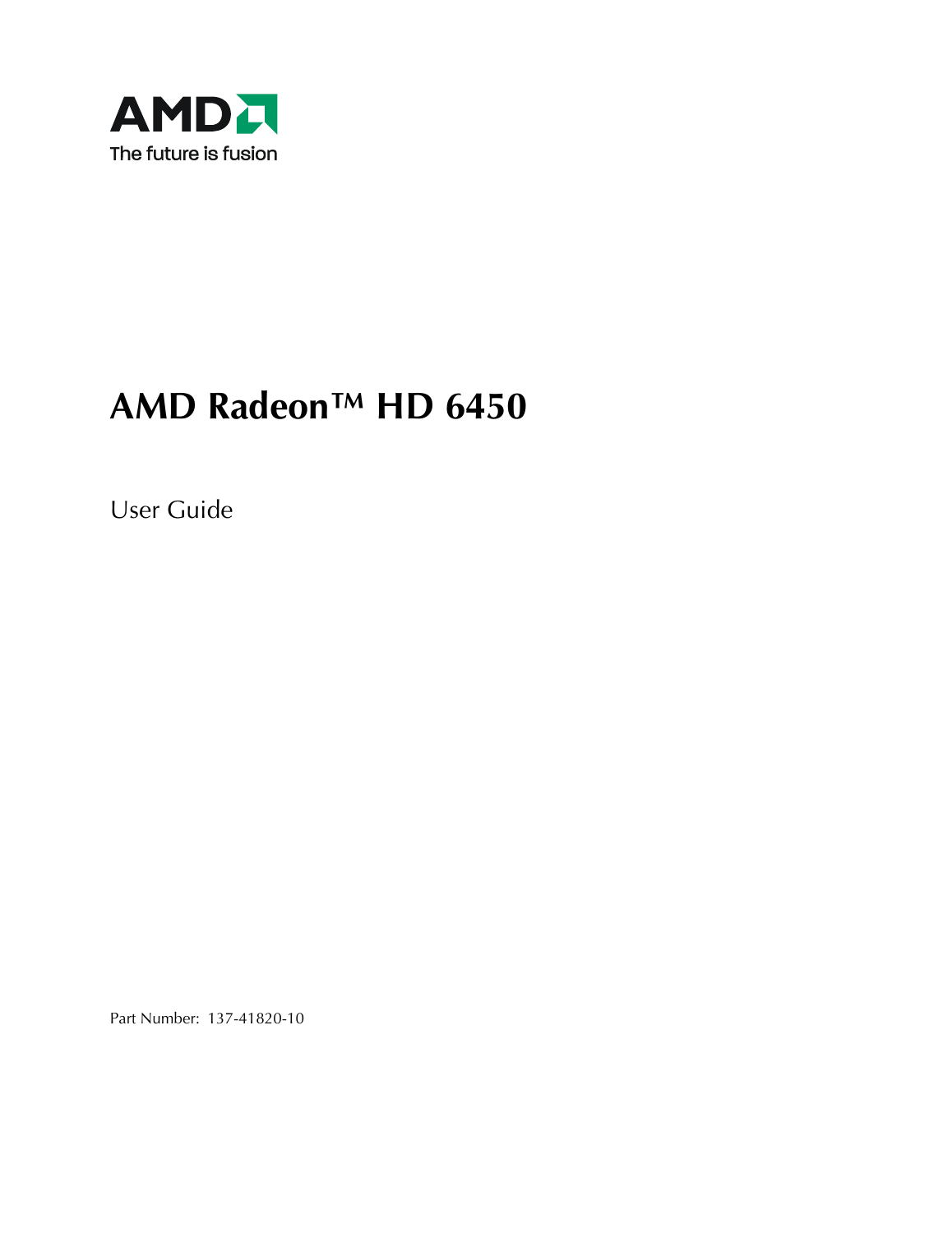

## **AMD Radeon™ HD 6450**

User Guide

Part Number: 137-41820-10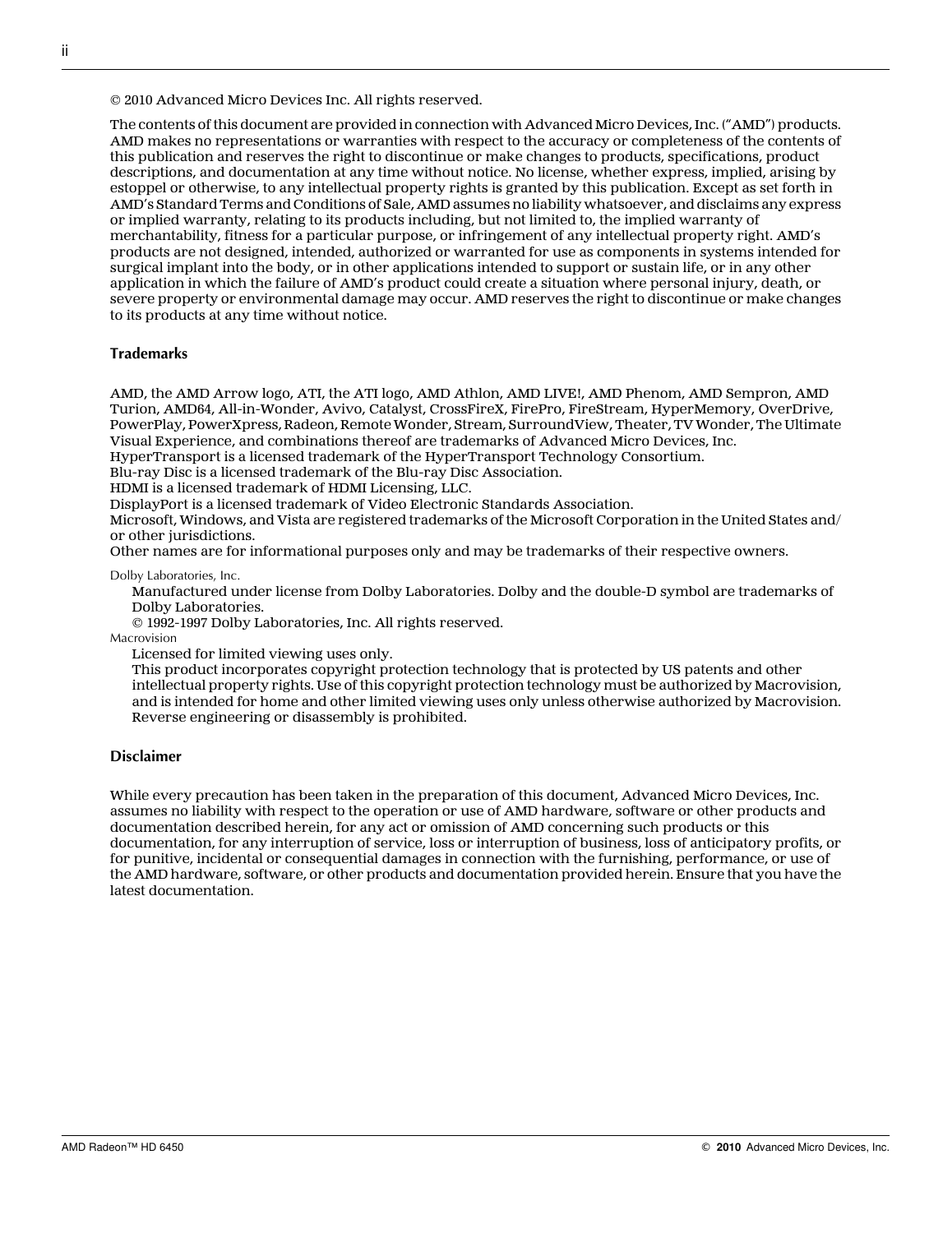© 2010 Advanced Micro Devices Inc. All rights reserved.

The contents of this document are provided in connection with Advanced Micro Devices, Inc. ("AMD") products. AMD makes no representations or warranties with respect to the accuracy or completeness of the contents of this publication and reserves the right to discontinue or make changes to products, specifications, product descriptions, and documentation at any time without notice. No license, whether express, implied, arising by estoppel or otherwise, to any intellectual property rights is granted by this publication. Except as set forth in AMD's Standard Terms and Conditions of Sale, AMD assumes no liability whatsoever, and disclaims any express or implied warranty, relating to its products including, but not limited to, the implied warranty of merchantability, fitness for a particular purpose, or infringement of any intellectual property right. AMD's products are not designed, intended, authorized or warranted for use as components in systems intended for surgical implant into the body, or in other applications intended to support or sustain life, or in any other application in which the failure of AMD's product could create a situation where personal injury, death, or severe property or environmental damage may occur. AMD reserves the right to discontinue or make changes to its products at any time without notice.

#### **Trademarks**

AMD, the AMD Arrow logo, ATI, the ATI logo, AMD Athlon, AMD LIVE!, AMD Phenom, AMD Sempron, AMD Turion, AMD64, All-in-Wonder, Avivo, Catalyst, CrossFireX, FirePro, FireStream, HyperMemory, OverDrive, PowerPlay, PowerXpress, Radeon, Remote Wonder, Stream, SurroundView, Theater, TV Wonder, The Ultimate Visual Experience, and combinations thereof are trademarks of Advanced Micro Devices, Inc.

HyperTransport is a licensed trademark of the HyperTransport Technology Consortium.

Blu-ray Disc is a licensed trademark of the Blu-ray Disc Association.

HDMI is a licensed trademark of HDMI Licensing, LLC.

DisplayPort is a licensed trademark of Video Electronic Standards Association.

Microsoft, Windows, and Vista are registered trademarks of the Microsoft Corporation in the United States and/ or other jurisdictions.

Other names are for informational purposes only and may be trademarks of their respective owners.

Dolby Laboratories, Inc.

Manufactured under license from Dolby Laboratories. Dolby and the double-D symbol are trademarks of Dolby Laboratories.

© 1992-1997 Dolby Laboratories, Inc. All rights reserved.

Macrovision

Licensed for limited viewing uses only.

This product incorporates copyright protection technology that is protected by US patents and other intellectual property rights. Use of this copyright protection technology must be authorized by Macrovision, and is intended for home and other limited viewing uses only unless otherwise authorized by Macrovision. Reverse engineering or disassembly is prohibited.

#### **Disclaimer**

While every precaution has been taken in the preparation of this document, Advanced Micro Devices, Inc. assumes no liability with respect to the operation or use of AMD hardware, software or other products and documentation described herein, for any act or omission of AMD concerning such products or this documentation, for any interruption of service, loss or interruption of business, loss of anticipatory profits, or for punitive, incidental or consequential damages in connection with the furnishing, performance, or use of the AMD hardware, software, or other products and documentation provided herein. Ensure that you have the latest documentation.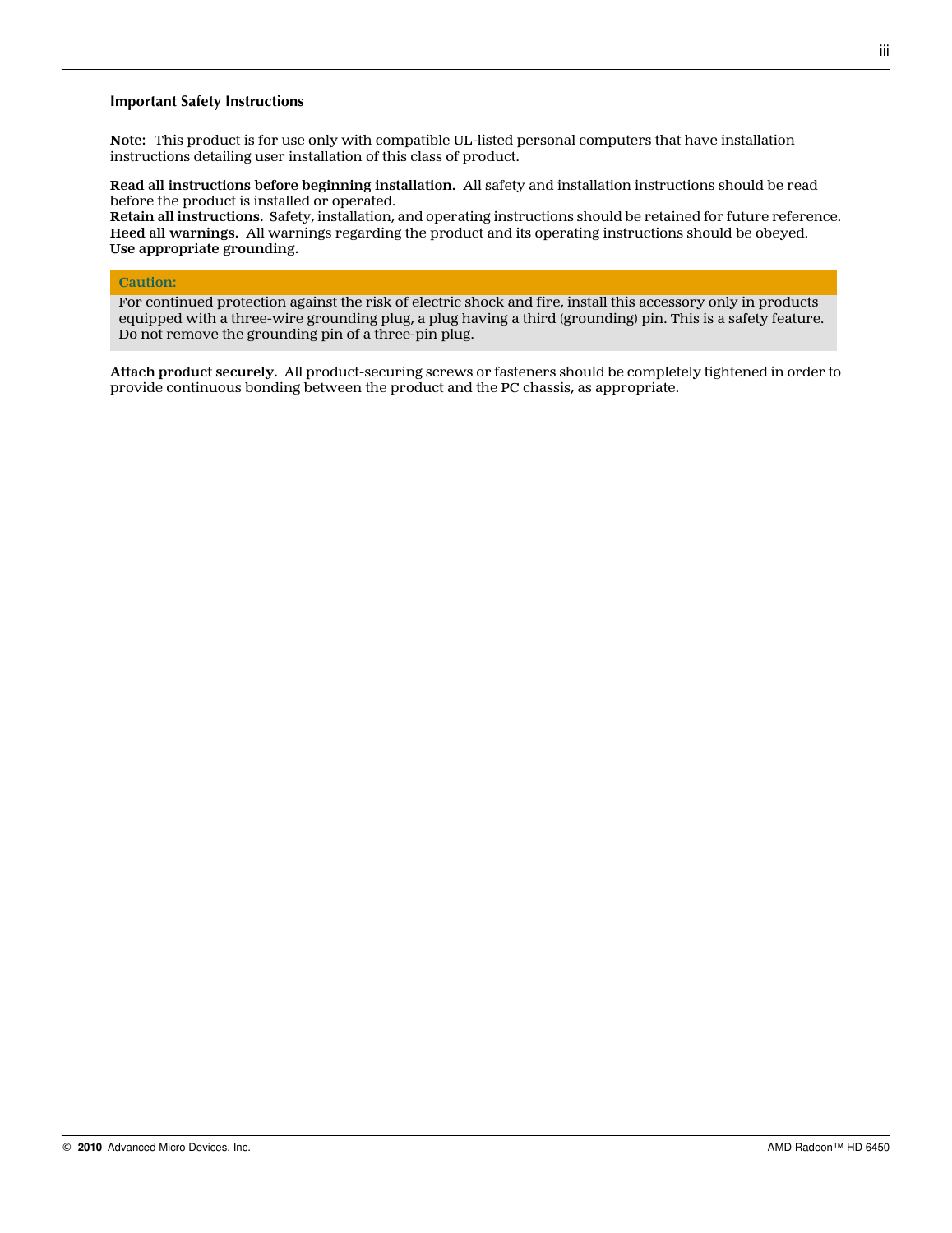#### **Important Safety Instructions**

**Note:** This product is for use only with compatible UL-listed personal computers that have installation instructions detailing user installation of this class of product.

**Read all instructions before beginning installation.** All safety and installation instructions should be read before the product is installed or operated.

**Retain all instructions.** Safety, installation, and operating instructions should be retained for future reference. **Heed all warnings.** All warnings regarding the product and its operating instructions should be obeyed. **Use appropriate grounding.**

#### **Caution:**

For continued protection against the risk of electric shock and fire, install this accessory only in products equipped with a three-wire grounding plug, a plug having a third (grounding) pin. This is a safety feature. Do not remove the grounding pin of a three-pin plug.

**Attach product securely.** All product-securing screws or fasteners should be completely tightened in order to provide continuous bonding between the product and the PC chassis, as appropriate.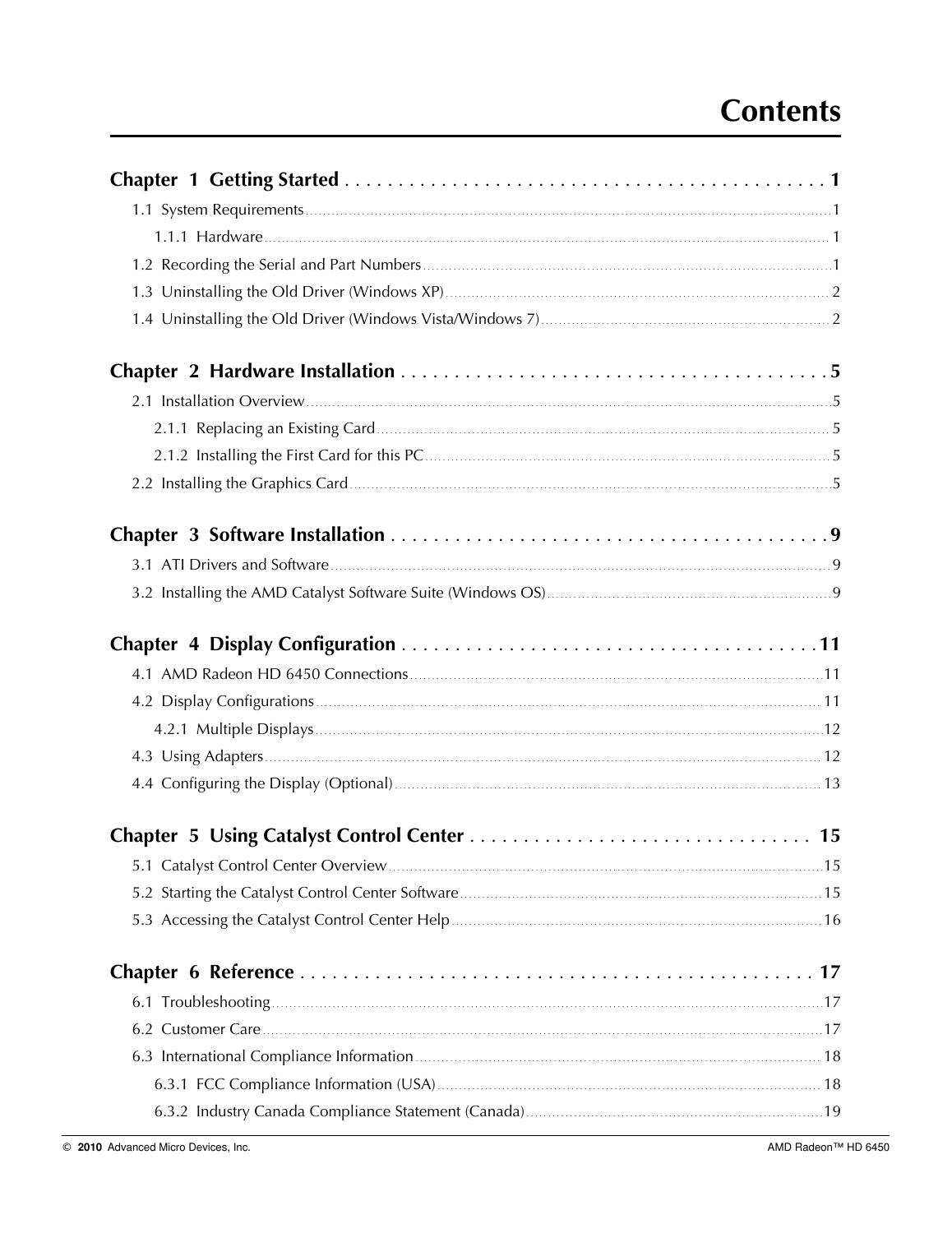## **Contents**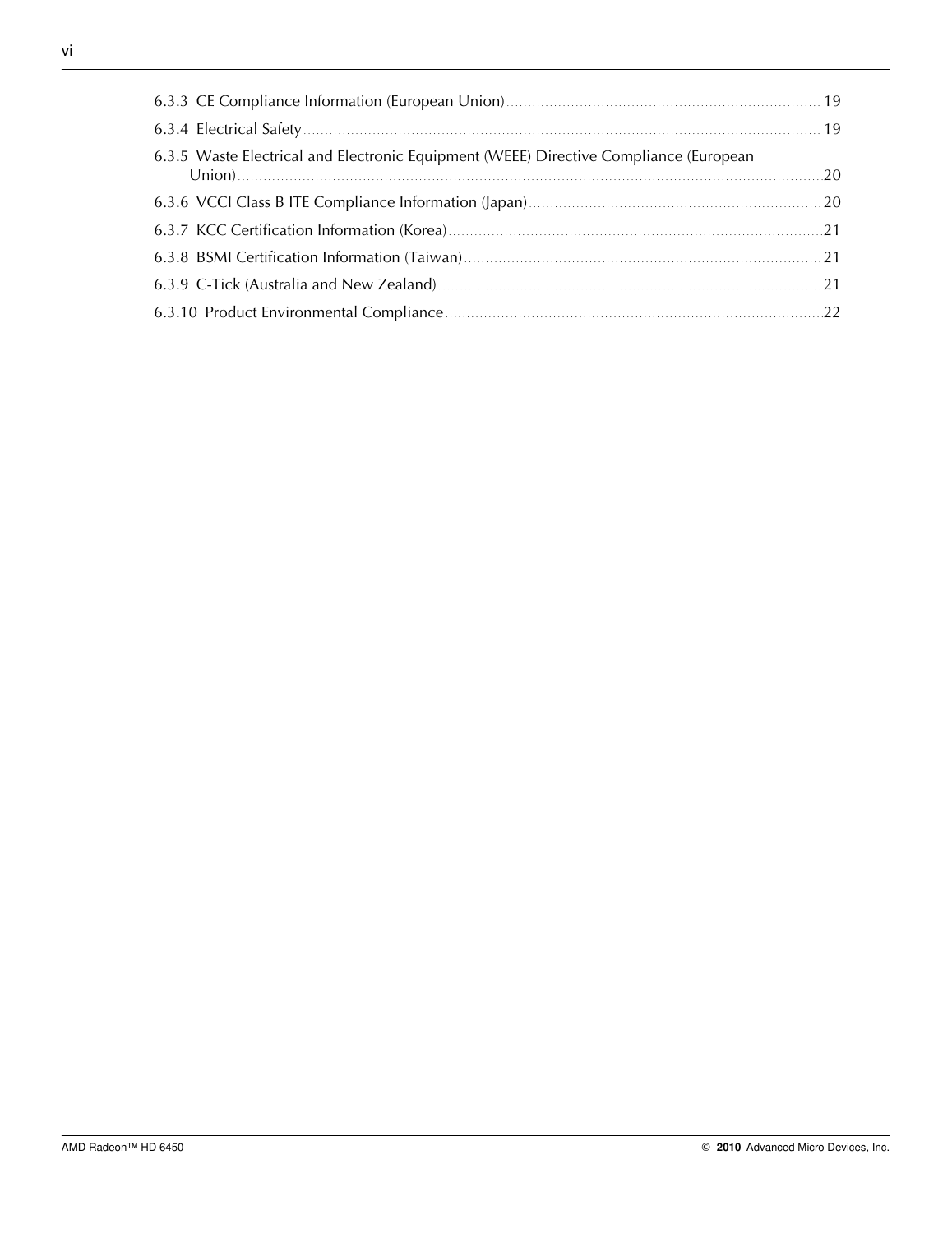| 6.3.5 Waste Electrical and Electronic Equipment (WEEE) Directive Compliance (European |  |
|---------------------------------------------------------------------------------------|--|
|                                                                                       |  |
|                                                                                       |  |
|                                                                                       |  |
|                                                                                       |  |
|                                                                                       |  |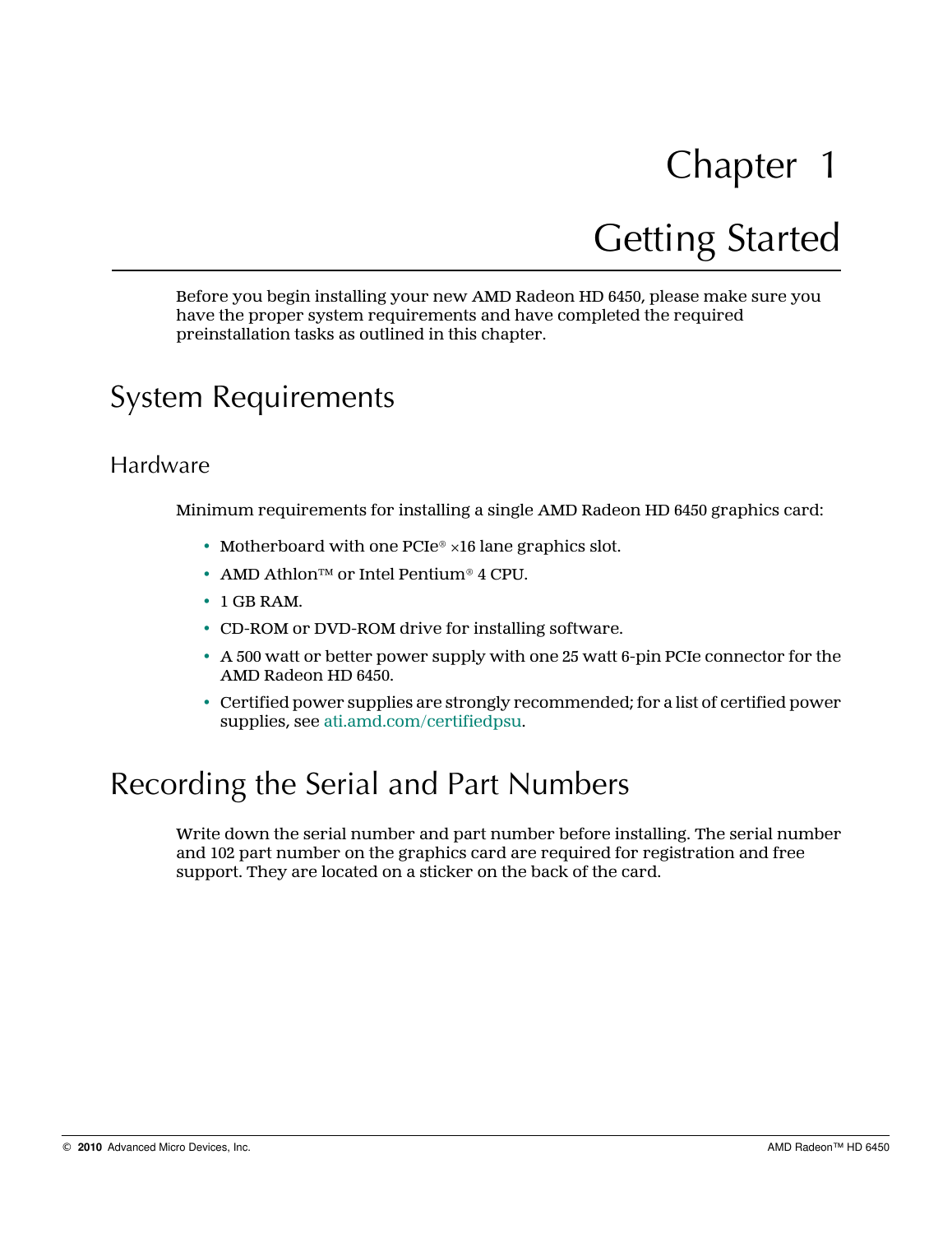# Getting Started

<span id="page-6-0"></span>Before you begin installing your new AMD Radeon HD 6450, please make sure you have the proper system requirements and have completed the required preinstallation tasks as outlined in this chapter.

## System Requirements

### Hardware

Minimum requirements for installing a single AMD Radeon HD 6450 graphics card:

- Motherboard with one  $PCIe^{\circ} \times 16$  lane graphics slot.
- AMD Athlon™ or Intel Pentium® 4 CPU.
- 1 GB RAM.
- CD-ROM or DVD-ROM drive for installing software.
- A 500 watt or better power supply with one 25 watt 6-pin PCIe connector for the AMD Radeon HD 6450.
- Certified power supplies are strongly recommended; for a list of certified power supplies, see [ati.amd.com/certifiedpsu.](http://ati.amd.com/certifiedpsu)

## Recording the Serial and Part Numbers

Write down the serial number and part number before installing. The serial number and 102 part number on the graphics card are required for registration and free support. They are located on a sticker on the back of the card.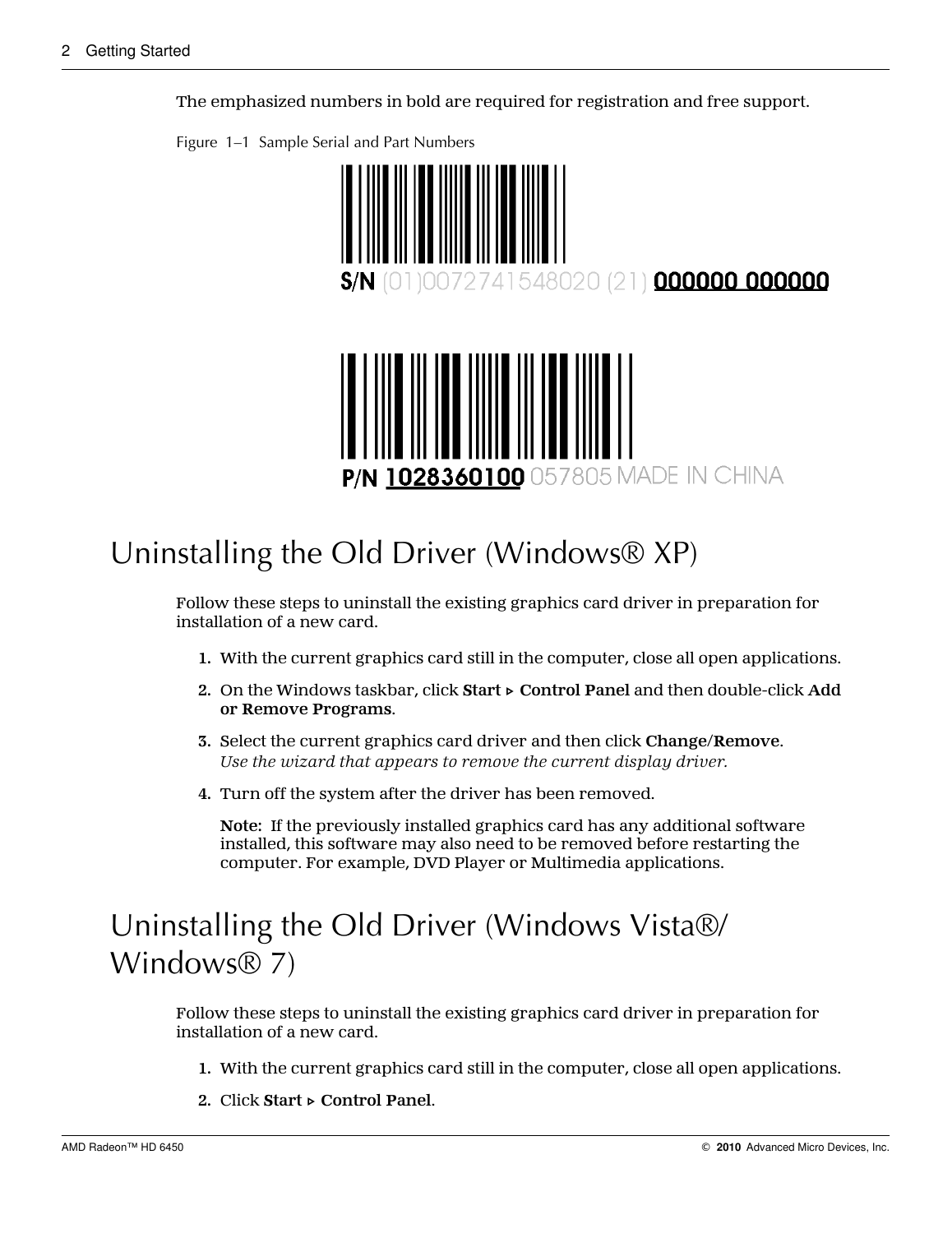10072741548020 (21) 000000 000000 P/N 1028360100 057805 MADE IN CHINA

<span id="page-7-0"></span>The emphasized numbers in bold are required for registration and free support.

Figure 1–1 Sample Serial and Part Numbers

## Uninstalling the Old Driver (Windows® XP)

Follow these steps to uninstall the existing graphics card driver in preparation for installation of a new card.

- **1.** With the current graphics card still in the computer, close all open applications.
- **2.** On the Windows taskbar, click **Start ▷ Control Panel** and then double-click **Add or Remove Programs**.
- **3.** Select the current graphics card driver and then click **Change/Remove**. *Use the wizard that appears to remove the current display driver.*
- **4.** Turn off the system after the driver has been removed.

**Note:** If the previously installed graphics card has any additional software installed, this software may also need to be removed before restarting the computer. For example, DVD Player or Multimedia applications.

## Uninstalling the Old Driver (Windows Vista®/ Windows® 7)

Follow these steps to uninstall the existing graphics card driver in preparation for installation of a new card.

- **1.** With the current graphics card still in the computer, close all open applications.
- **2.** Click **Start ▷ Control Panel**.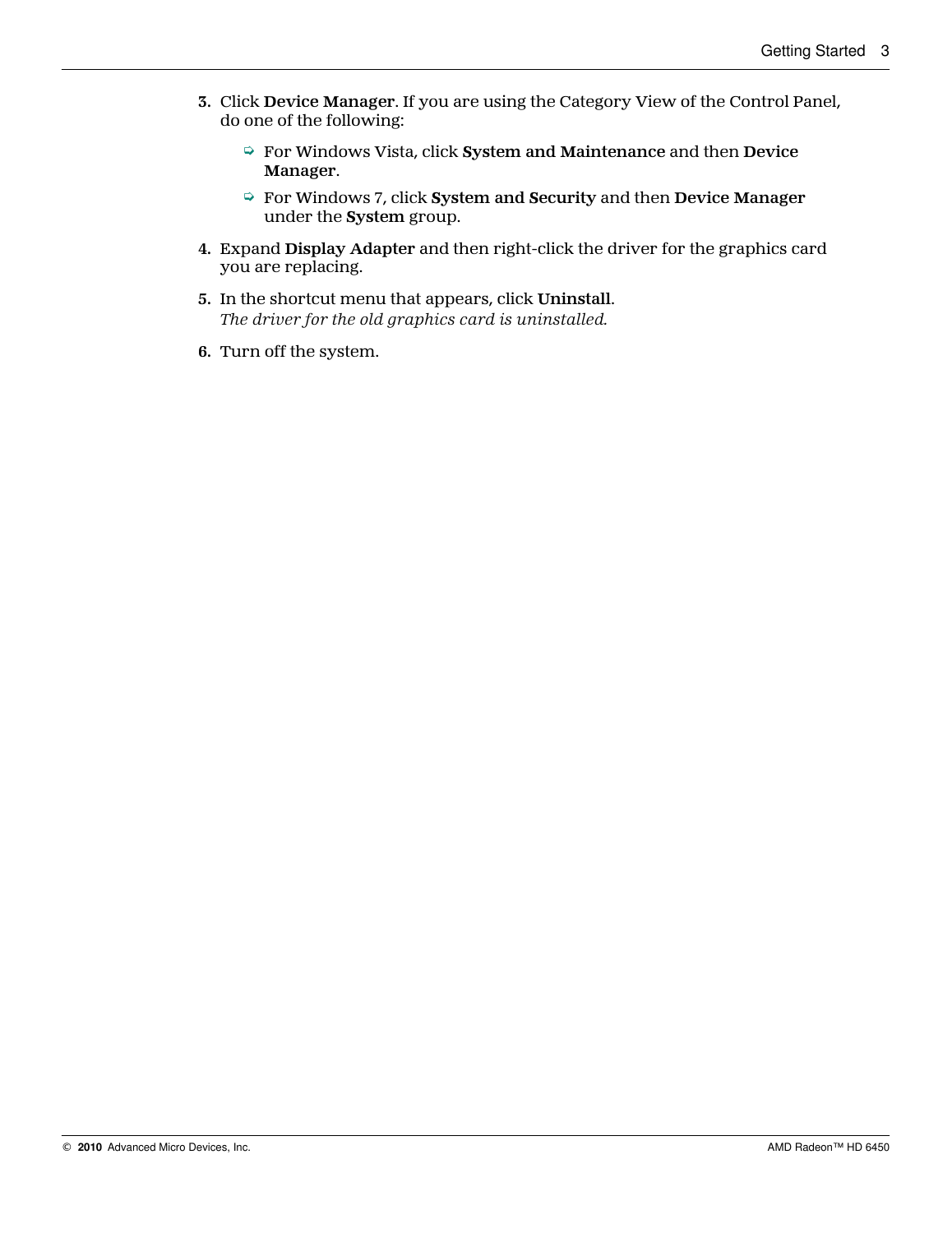- **3.** Click **Device Manager**. If you are using the Category View of the Control Panel, do one of the following:
	- ➭ For Windows Vista, click **System and Maintenance** and then **Device Manager**.
	- ➭ For Windows 7, click **System and Security** and then **Device Manager** under the **System** group.
- **4.** Expand **Display Adapter** and then right-click the driver for the graphics card you are replacing.
- **5.** In the shortcut menu that appears, click **Uninstall**. *The driver for the old graphics card is uninstalled.*
- **6.** Turn off the system.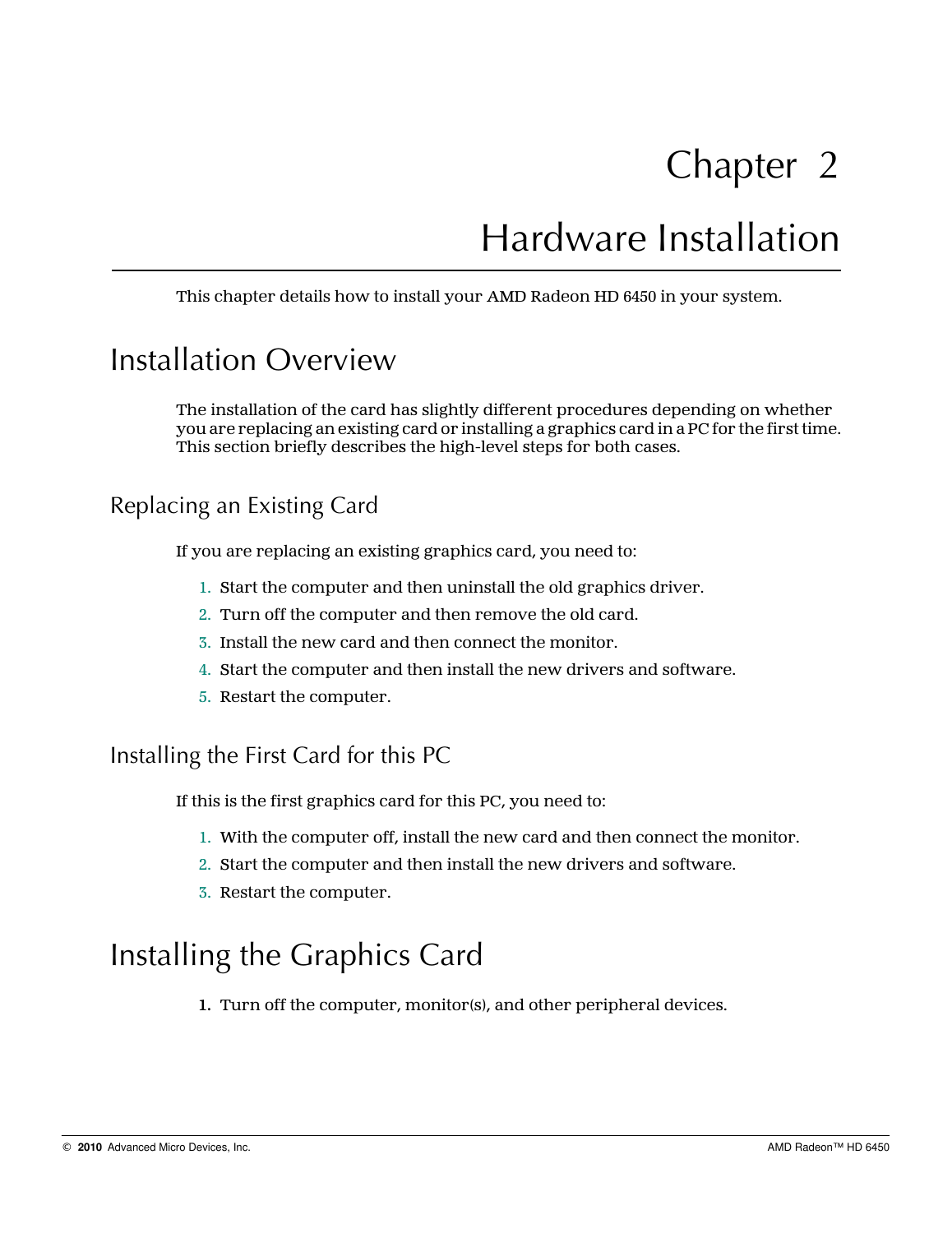## Hardware Installation

<span id="page-10-0"></span>This chapter details how to install your AMD Radeon HD 6450 in your system.

## Installation Overview

The installation of the card has slightly different procedures depending on whether you are replacing an existing card or installing a graphics card in a PC for the first time. This section briefly describes the high-level steps for both cases.

### Replacing an Existing Card

If you are replacing an existing graphics card, you need to:

- 1. Start the computer and then uninstall the old graphics driver.
- 2. Turn off the computer and then remove the old card.
- 3. Install the new card and then connect the monitor.
- 4. Start the computer and then install the new drivers and software.
- 5. Restart the computer.

Installing the First Card for this PC

If this is the first graphics card for this PC, you need to:

- 1. With the computer off, install the new card and then connect the monitor.
- 2. Start the computer and then install the new drivers and software.
- 3. Restart the computer.

## Installing the Graphics Card

**1.** Turn off the computer, monitor(s), and other peripheral devices.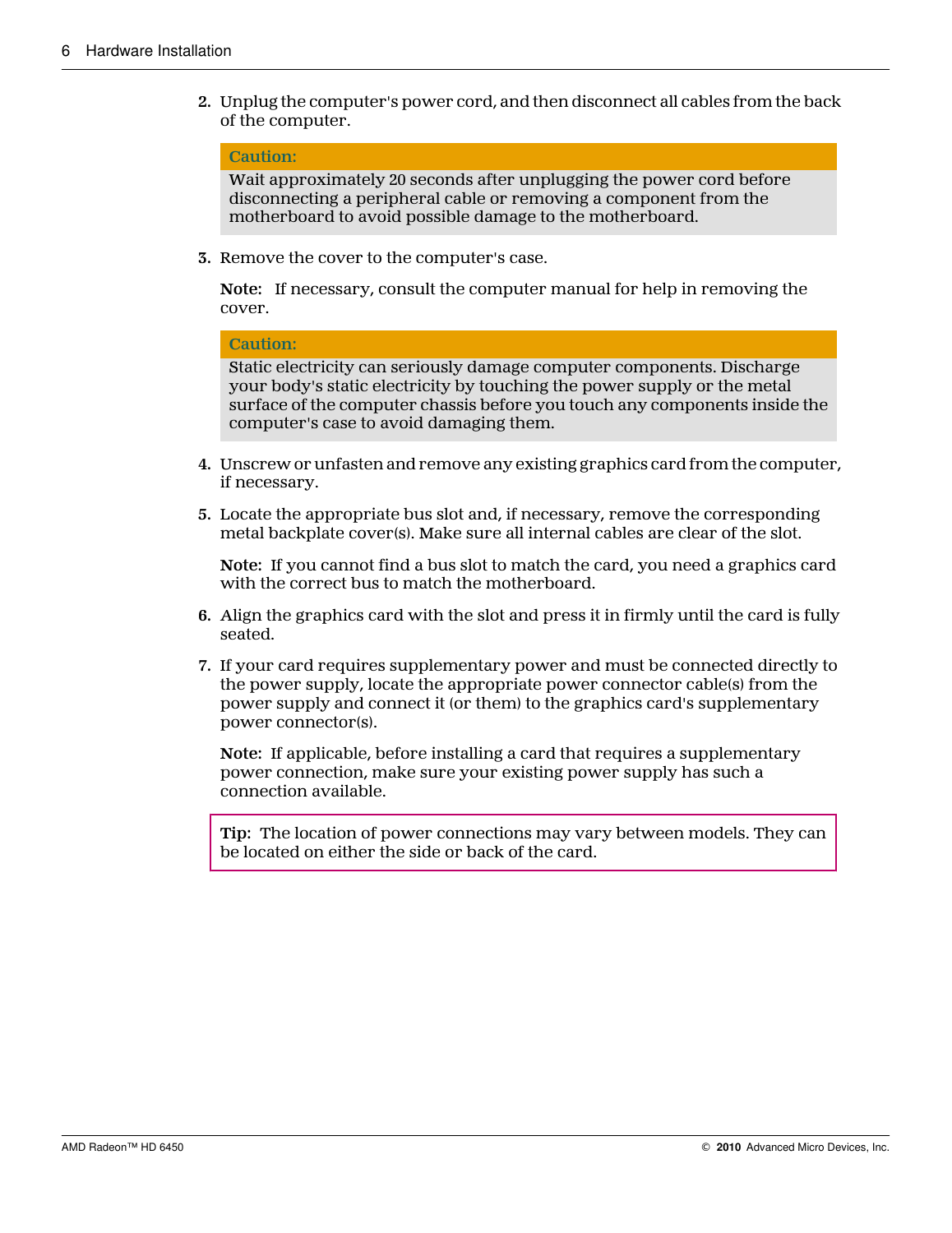**2.** Unplug the computer's power cord, and then disconnect all cables from the back of the computer.

#### **Caution:**

Wait approximately 20 seconds after unplugging the power cord before disconnecting a peripheral cable or removing a component from the motherboard to avoid possible damage to the motherboard.

**3.** Remove the cover to the computer's case.

**Note:** If necessary, consult the computer manual for help in removing the cover.

#### **Caution:**

Static electricity can seriously damage computer components. Discharge your body's static electricity by touching the power supply or the metal surface of the computer chassis before you touch any components inside the computer's case to avoid damaging them.

- **4.** Unscrew or unfasten and remove any existing graphics card from the computer, if necessary.
- **5.** Locate the appropriate bus slot and, if necessary, remove the corresponding metal backplate cover(s). Make sure all internal cables are clear of the slot.

**Note:** If you cannot find a bus slot to match the card, you need a graphics card with the correct bus to match the motherboard.

- **6.** Align the graphics card with the slot and press it in firmly until the card is fully seated.
- **7.** If your card requires supplementary power and must be connected directly to the power supply, locate the appropriate power connector cable(s) from the power supply and connect it (or them) to the graphics card's supplementary power connector(s).

**Note:** If applicable, before installing a card that requires a supplementary power connection, make sure your existing power supply has such a connection available.

**Tip:** The location of power connections may vary between models. They can be located on either the side or back of the card.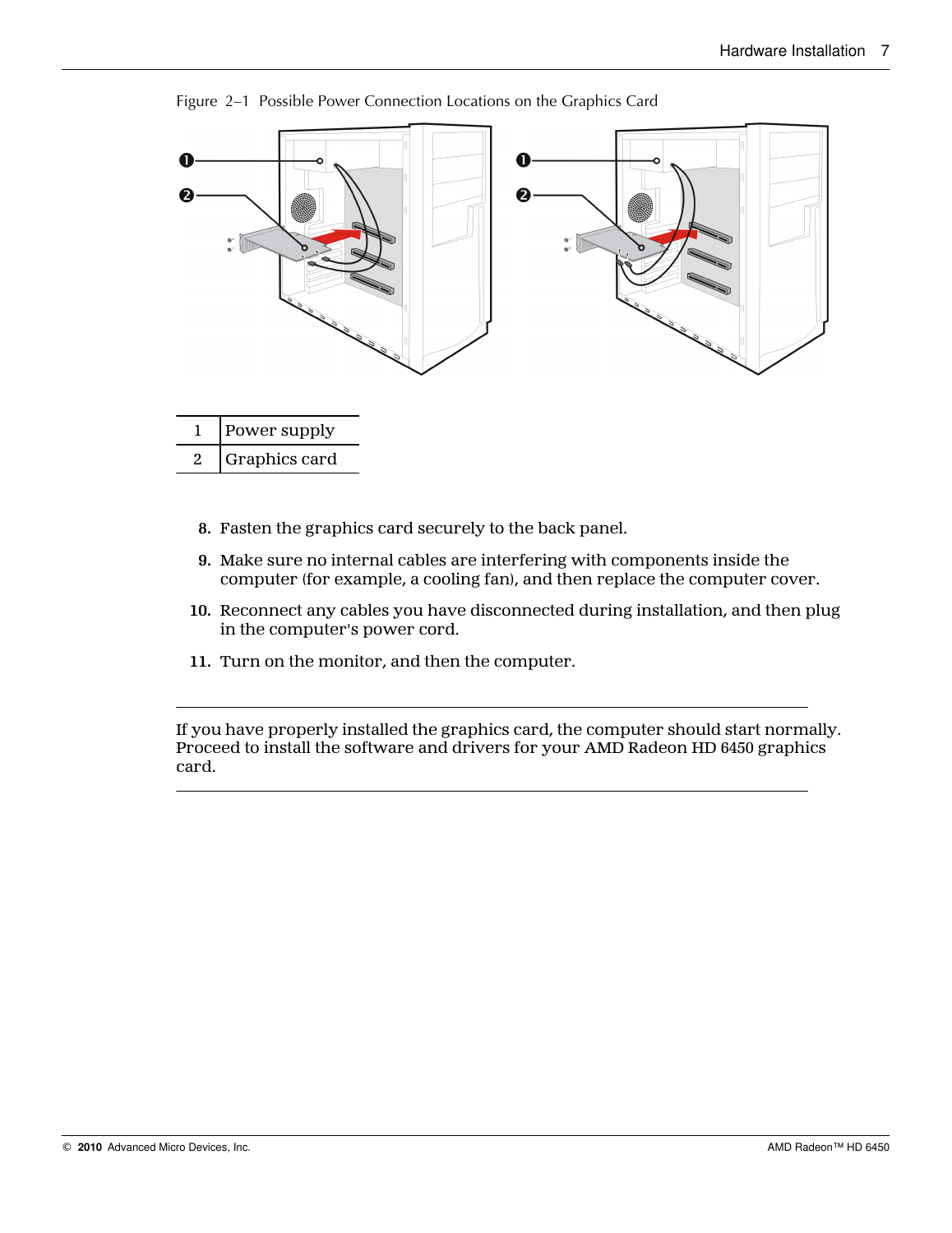

Figure 2–1 Possible Power Connection Locations on the Graphics Card

- 1 Power supply 2 Graphics card
	- **8.** Fasten the graphics card securely to the back panel.
	- **9.** Make sure no internal cables are interfering with components inside the computer (for example, a cooling fan), and then replace the computer cover.
	- **10.** Reconnect any cables you have disconnected during installation, and then plug in the computer's power cord.
	- **11.** Turn on the monitor, and then the computer.

If you have properly installed the graphics card, the computer should start normally. Proceed to install the software and drivers for your AMD Radeon HD 6450 graphics card.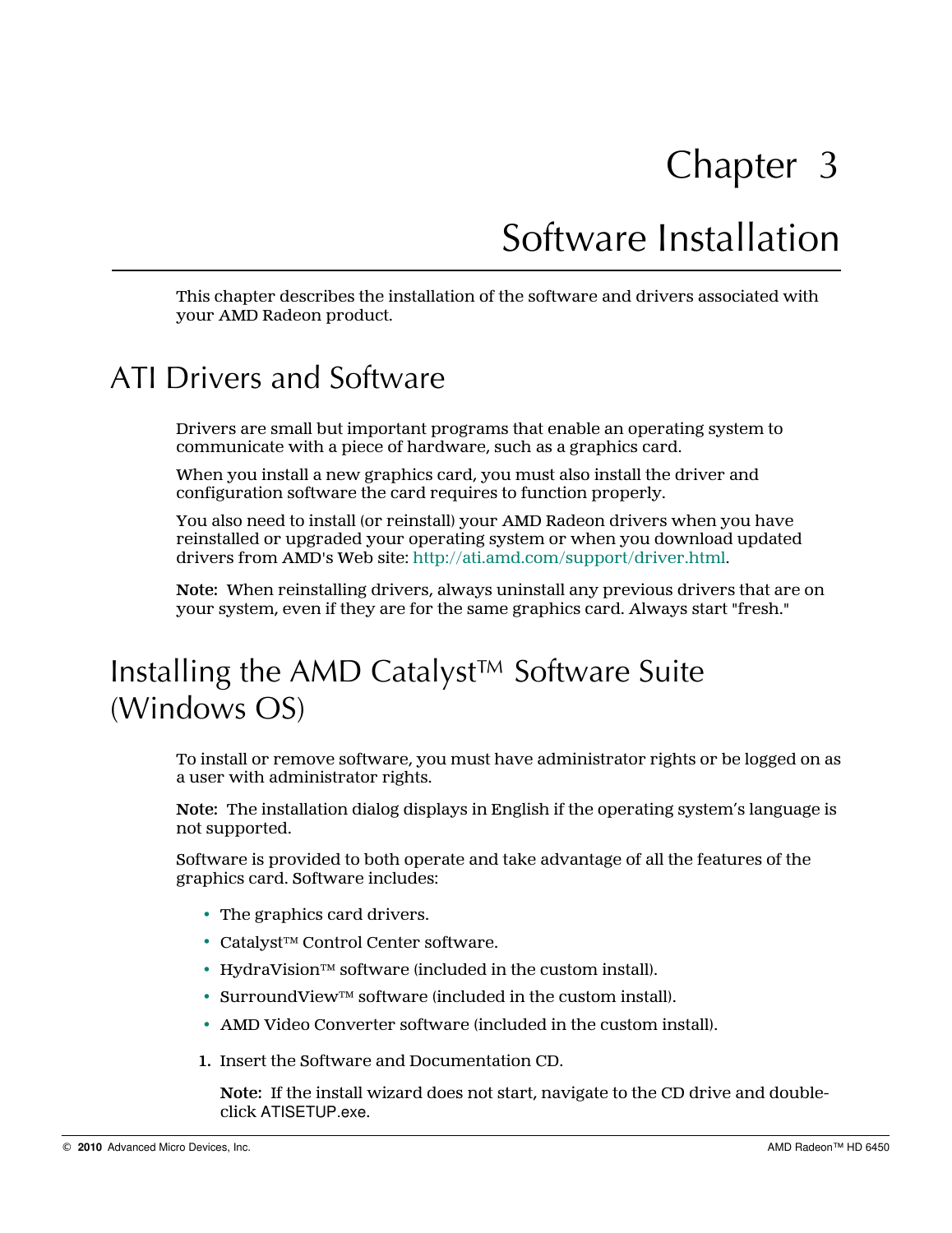## Software Installation

<span id="page-14-0"></span>This chapter describes the installation of the software and drivers associated with your AMD Radeon product.

### ATI Drivers and Software

Drivers are small but important programs that enable an operating system to communicate with a piece of hardware, such as a graphics card.

When you install a new graphics card, you must also install the driver and configuration software the card requires to function properly.

You also need to install (or reinstall) your AMD Radeon drivers when you have reinstalled or upgraded your operating system or when you download updated drivers from AMD's Web site: <http://ati.amd.com/support/driver.html>.

**Note:** When reinstalling drivers, always uninstall any previous drivers that are on your system, even if they are for the same graphics card. Always start "fresh."

## Installing the AMD Catalyst™ Software Suite (Windows OS)

To install or remove software, you must have administrator rights or be logged on as a user with administrator rights.

**Note:** The installation dialog displays in English if the operating system's language is not supported.

Software is provided to both operate and take advantage of all the features of the graphics card. Software includes:

- The graphics card drivers.
- Catalyst™ Control Center software.
- HydraVision™ software (included in the custom install).
- SurroundView™ software (included in the custom install).
- AMD Video Converter software (included in the custom install).
- **1.** Insert the Software and Documentation CD.

**Note:** If the install wizard does not start, navigate to the CD drive and doubleclick ATISETUP.exe.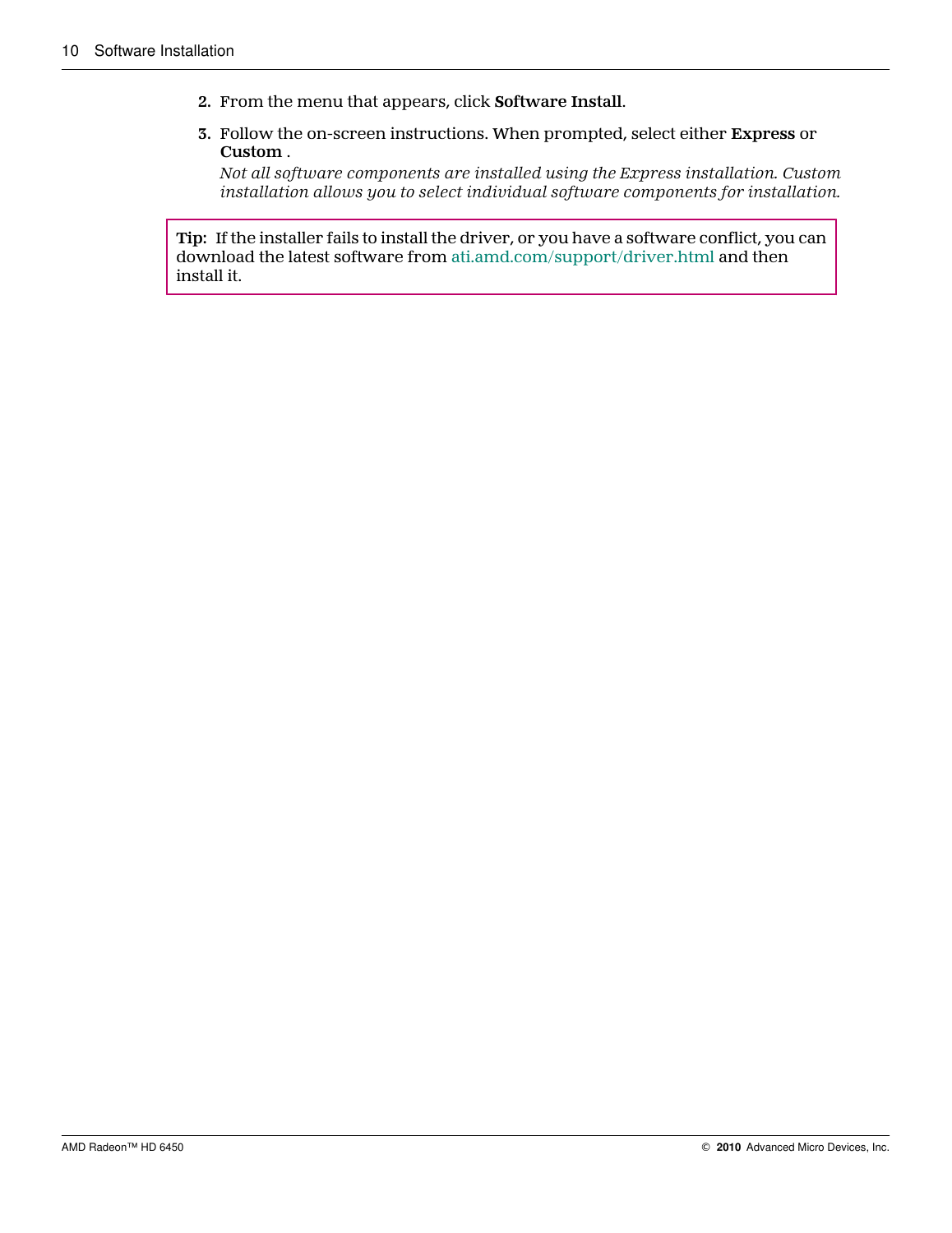- **2.** From the menu that appears, click **Software Install**.
- **3.** Follow the on-screen instructions. When prompted, select either **Express** or **Custom** .

*Not all software components are installed using the Express installation. Custom installation allows you to select individual software components for installation.*

**Tip:** If the installer fails to install the driver, or you have a software conflict, you can download the latest software from [ati.amd.com/support/driver.html](http://ati.amd.com/support/driver.html) and then install it.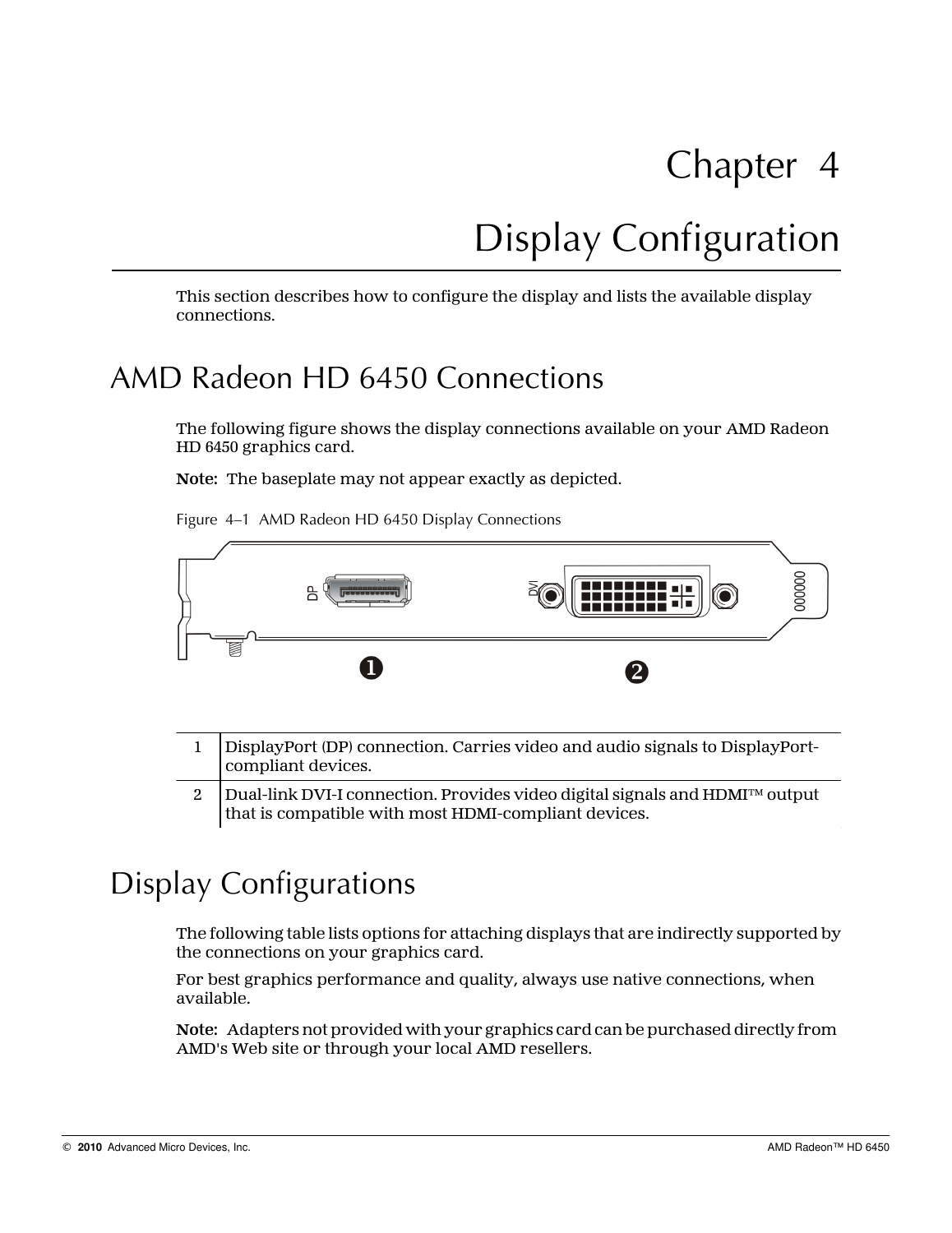# Display Configuration

<span id="page-16-0"></span>This section describes how to configure the display and lists the available display connections.

## AMD Radeon HD 6450 Connections

The following figure shows the display connections available on your AMD Radeon HD 6450 graphics card.

**Note:** The baseplate may not appear exactly as depicted.

Figure 4–1 AMD Radeon HD 6450 Display Connections



| 1 DisplayPort (DP) connection. Carries video and audio signals to DisplayPort-<br>compliant devices.                                                      |
|-----------------------------------------------------------------------------------------------------------------------------------------------------------|
| 2 $\Box$ Dual-link DVI-I connection. Provides video digital signals and HDMI <sup>TM</sup> output<br>that is compatible with most HDMI-compliant devices. |
|                                                                                                                                                           |

## Display Configurations

The following table lists options for attaching displays that are indirectly supported by the connections on your graphics card.

For best graphics performance and quality, always use native connections, when available.

**Note:** Adapters not provided with your graphics card can be purchased directly from AMD's Web site or through your local AMD resellers.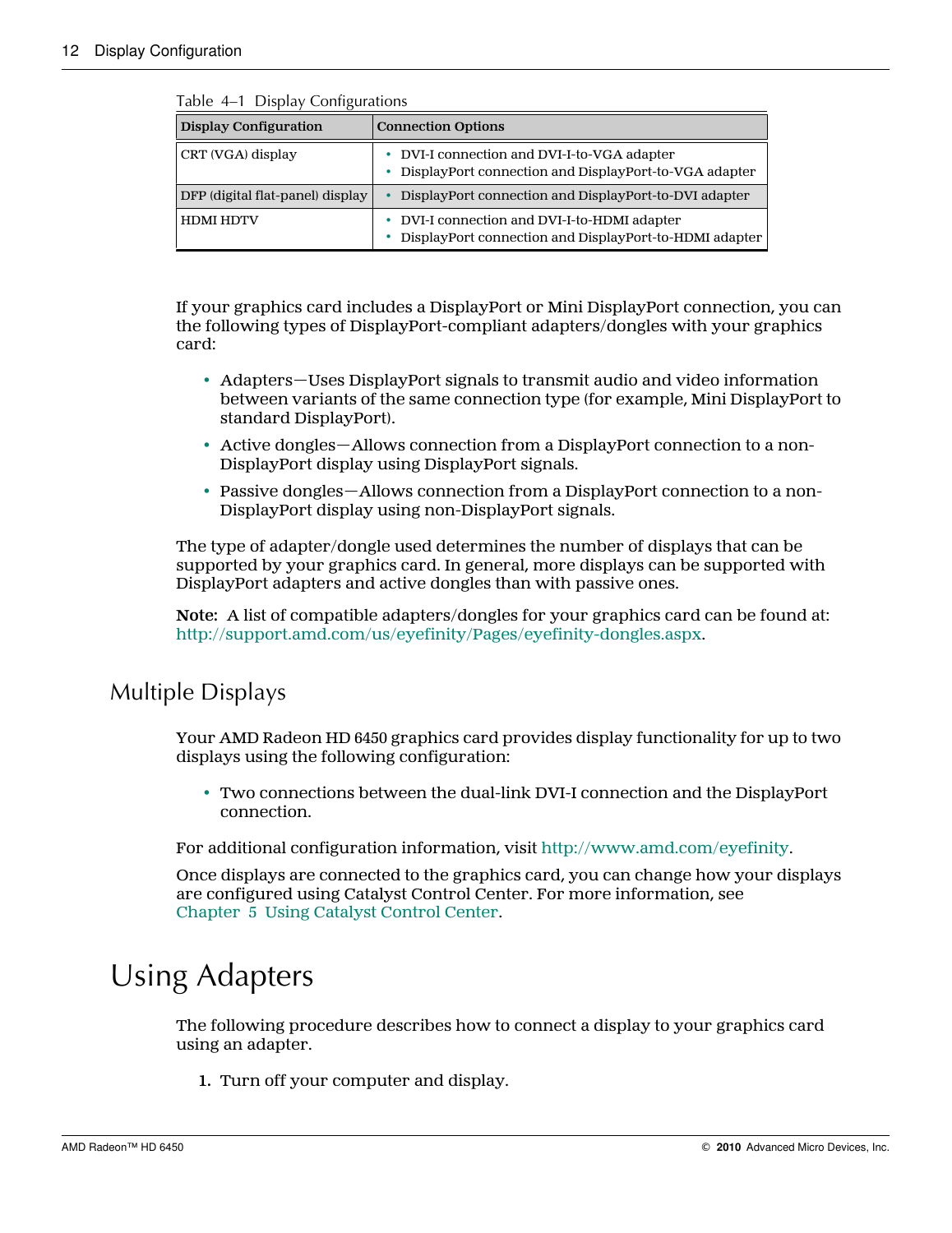| rabic $\tau$ - $\tau$ Display Conniguiations |                                                                                                             |  |
|----------------------------------------------|-------------------------------------------------------------------------------------------------------------|--|
| <b>Display Configuration</b>                 | <b>Connection Options</b>                                                                                   |  |
| CRT (VGA) display                            | • DVI-I connection and DVI-I-to-VGA adapter<br>• DisplayPort connection and DisplayPort-to-VGA adapter      |  |
| DFP (digital flat-panel) display             | • DisplayPort connection and DisplayPort-to-DVI adapter                                                     |  |
| <b>HDMI HDTV</b>                             | • DVI-I connection and DVI-I-to-HDMI adapter<br>DisplayPort connection and DisplayPort-to-HDMI adapter<br>٠ |  |

<span id="page-17-0"></span>Table 4–1 Display Configurations

If your graphics card includes a DisplayPort or Mini DisplayPort connection, you can the following types of DisplayPort-compliant adapters/dongles with your graphics card:

- Adapters—Uses DisplayPort signals to transmit audio and video information between variants of the same connection type (for example, Mini DisplayPort to standard DisplayPort).
- Active dongles—Allows connection from a DisplayPort connection to a non-DisplayPort display using DisplayPort signals.
- Passive dongles—Allows connection from a DisplayPort connection to a non-DisplayPort display using non-DisplayPort signals.

The type of adapter/dongle used determines the number of displays that can be supported by your graphics card. In general, more displays can be supported with DisplayPort adapters and active dongles than with passive ones.

**Note:** A list of compatible adapters/dongles for your graphics card can be found at: [http://support.amd.com/us/eyefinity/Pages/eyefinity-dongles.aspx.](http://support.amd.com/us/eyefinity/Pages/eyefinity-dongles.aspx)

### Multiple Displays

Your AMD Radeon HD 6450 graphics card provides display functionality for up to two displays using the following configuration:

• Two connections between the dual-link DVI-I connection and the DisplayPort connection.

For additional configuration information, visit [http://www.amd.com/eyefinity.](http://www.amd.com/eyefinity)

Once displays are connected to the graphics card, you can change how your displays are configured using Catalyst Control Center. For more information, see [Chapter 5 Using Catalyst Control Center.](#page-20-0)

## Using Adapters

The following procedure describes how to connect a display to your graphics card using an adapter.

**1.** Turn off your computer and display.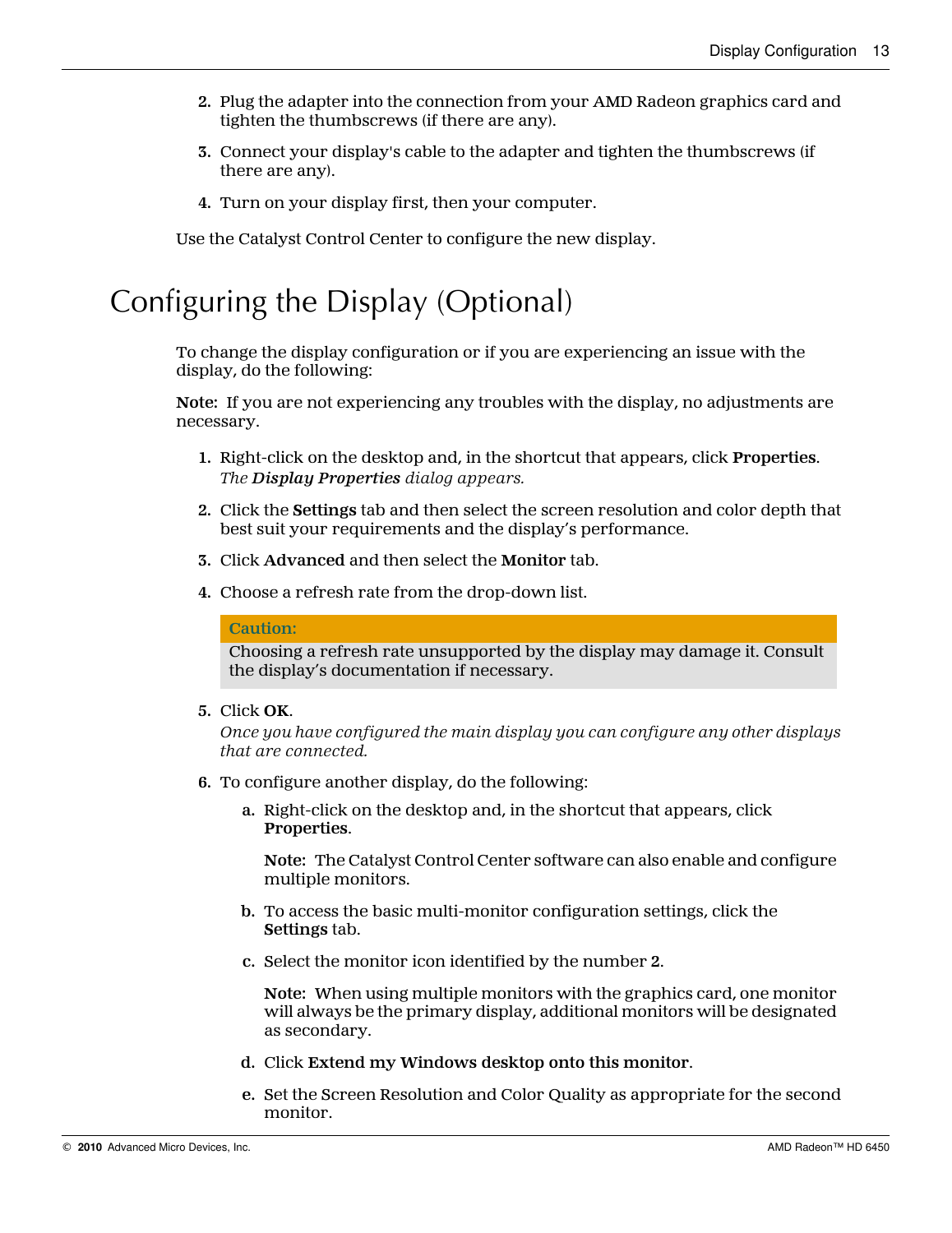- <span id="page-18-0"></span>**2.** Plug the adapter into the connection from your AMD Radeon graphics card and tighten the thumbscrews (if there are any).
- **3.** Connect your display's cable to the adapter and tighten the thumbscrews (if there are any).
- **4.** Turn on your display first, then your computer.

Use the Catalyst Control Center to configure the new display.

## Configuring the Display (Optional)

To change the display configuration or if you are experiencing an issue with the display, do the following:

**Note:** If you are not experiencing any troubles with the display, no adjustments are necessary.

- **1.** Right-click on the desktop and, in the shortcut that appears, click **Properties**. *The Display Properties dialog appears.*
- **2.** Click the **Settings** tab and then select the screen resolution and color depth that best suit your requirements and the display's performance.
- **3.** Click **Advanced** and then select the **Monitor** tab.
- **4.** Choose a refresh rate from the drop-down list.

#### **Caution:**

Choosing a refresh rate unsupported by the display may damage it. Consult the display's documentation if necessary.

**5.** Click **OK**.

*Once you have configured the main display you can configure any other displays that are connected.*

- **6.** To configure another display, do the following:
	- **a.** Right-click on the desktop and, in the shortcut that appears, click **Properties**.

**Note:** The Catalyst Control Center software can also enable and configure multiple monitors.

- **b.** To access the basic multi-monitor configuration settings, click the **Settings** tab.
- **c.** Select the monitor icon identified by the number **2**.

**Note:** When using multiple monitors with the graphics card, one monitor will always be the primary display, additional monitors will be designated as secondary.

- **d.** Click **Extend my Windows desktop onto this monitor**.
- **e.** Set the Screen Resolution and Color Quality as appropriate for the second monitor.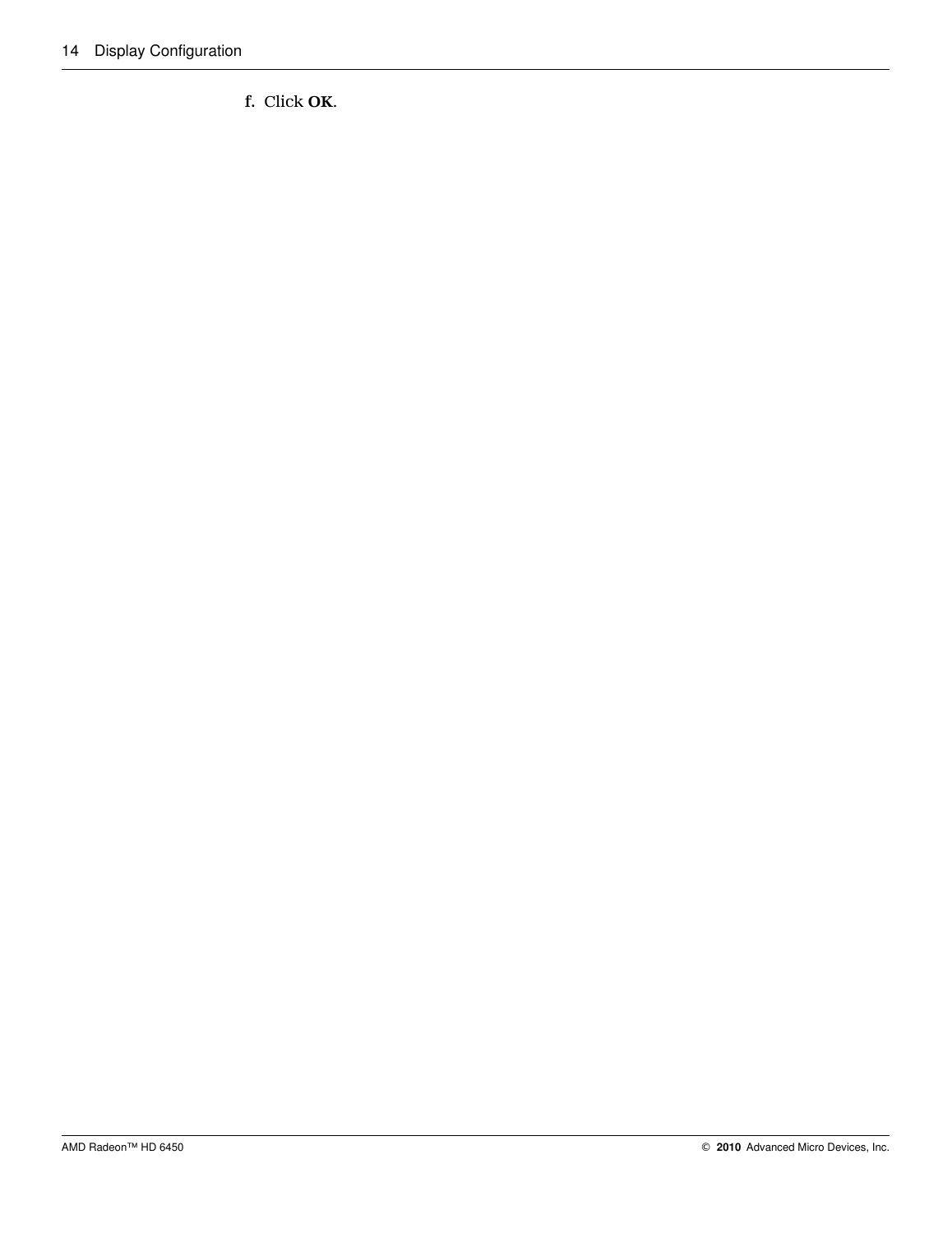**f.** Click **OK**.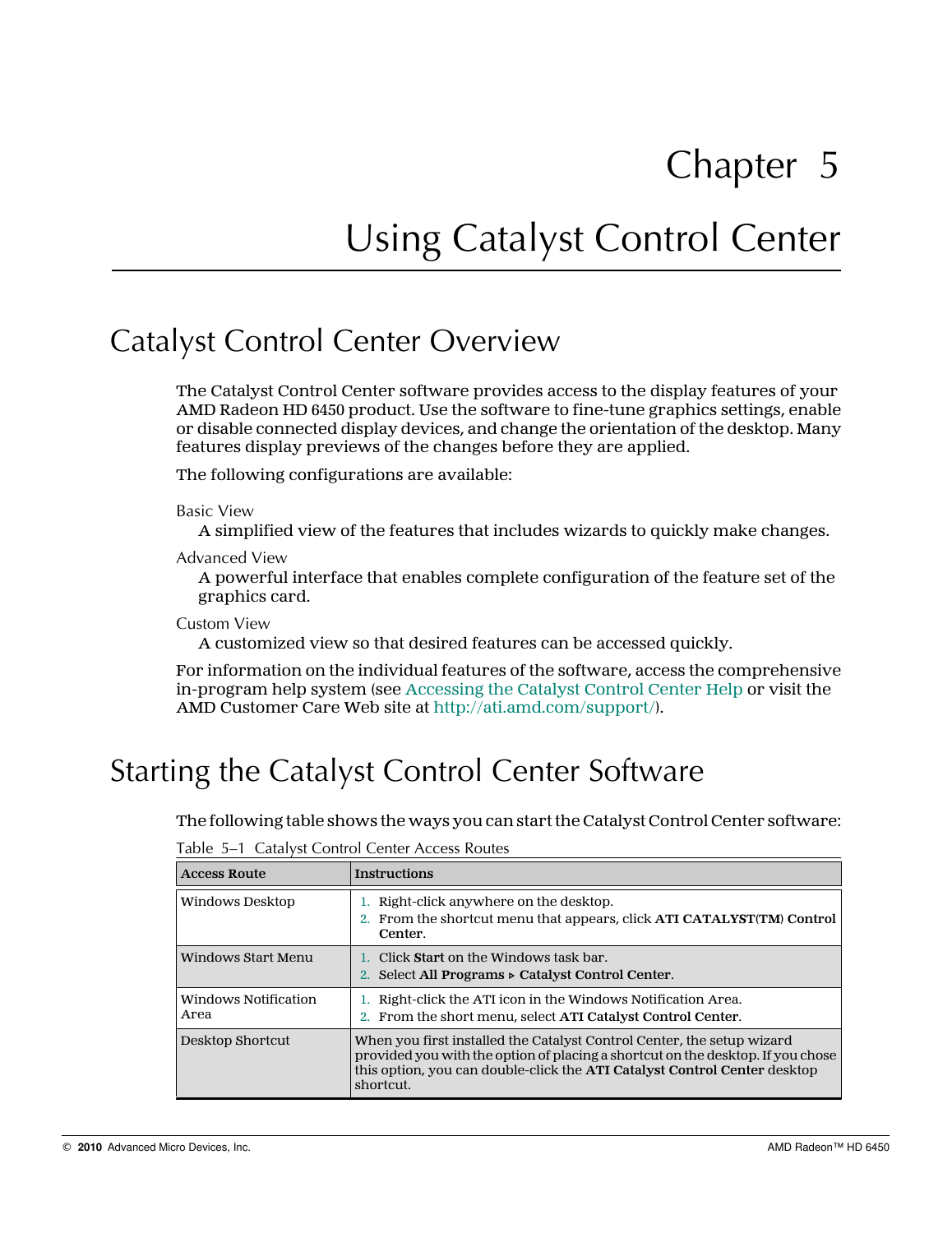# Using Catalyst Control Center

## <span id="page-20-0"></span>Catalyst Control Center Overview

The Catalyst Control Center software provides access to the display features of your AMD Radeon HD 6450 product. Use the software to fine-tune graphics settings, enable or disable connected display devices, and change the orientation of the desktop. Many features display previews of the changes before they are applied.

The following configurations are available:

Basic View

A simplified view of the features that includes wizards to quickly make changes.

Advanced View

A powerful interface that enables complete configuration of the feature set of the graphics card.

Custom View

A customized view so that desired features can be accessed quickly.

For information on the individual features of the software, access the comprehensive in-program help system (see [Accessing the Catalyst Control Center Help](#page-21-0) or visit the AMD Customer Care Web site at [http://ati.amd.com/support/\)](http://ati.amd.com/support/).

## Starting the Catalyst Control Center Software

The following table shows the ways you can start the Catalyst Control Center software:

| <b>Access Route</b>          | <b>Instructions</b>                                                                                                                                                                                                                                 |
|------------------------------|-----------------------------------------------------------------------------------------------------------------------------------------------------------------------------------------------------------------------------------------------------|
| Windows Desktop              | Right-click anywhere on the desktop.<br>2. From the shortcut menu that appears, click ATI CATALYST(TM) Control<br>Center.                                                                                                                           |
| Windows Start Menu           | 1. Click <b>Start</b> on the Windows task bar.<br>Select All Programs ⊳ Catalyst Control Center.                                                                                                                                                    |
| Windows Notification<br>Area | Right-click the ATI icon in the Windows Notification Area.<br>2. From the short menu, select ATI Catalyst Control Center.                                                                                                                           |
| Desktop Shortcut             | When you first installed the Catalyst Control Center, the setup wizard<br>provided you with the option of placing a shortcut on the desktop. If you chose<br>this option, you can double-click the ATI Catalyst Control Center desktop<br>shortcut. |

Table 5–1 Catalyst Control Center Access Routes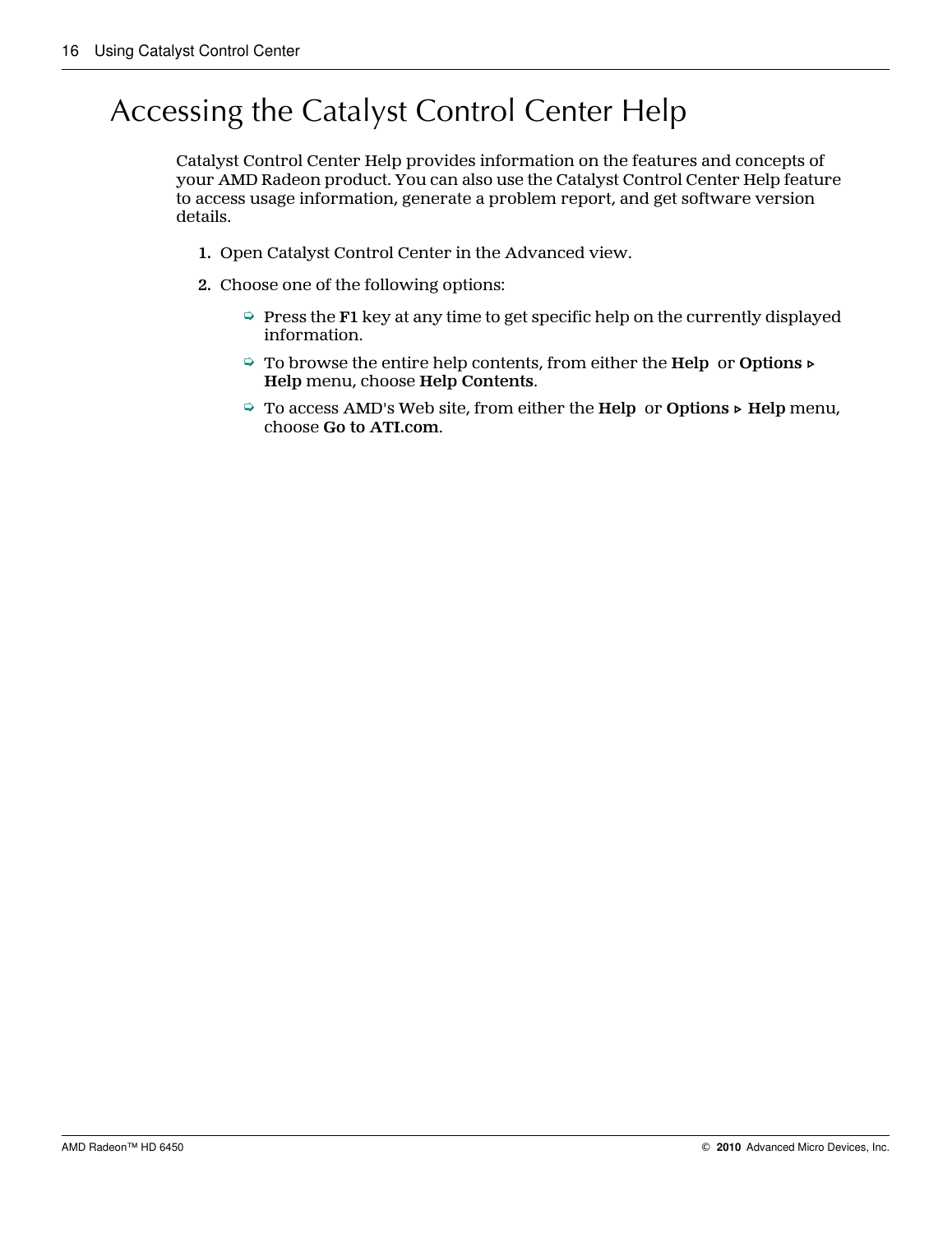## <span id="page-21-0"></span>Accessing the Catalyst Control Center Help

Catalyst Control Center Help provides information on the features and concepts of your AMD Radeon product. You can also use the Catalyst Control Center Help feature to access usage information, generate a problem report, and get software version details.

- **1.** Open Catalyst Control Center in the Advanced view.
- **2.** Choose one of the following options:
	- $\Rightarrow$  Press the **F1** key at any time to get specific help on the currently displayed information.
	- ➭ To browse the entire help contents, from either the **Help** or **Options ▷ Help** menu, choose **Help Contents**.
	- ➭ To access AMD's Web site, from either the **Help** or **Options ▷ Help** menu, choose **Go to ATI.com**.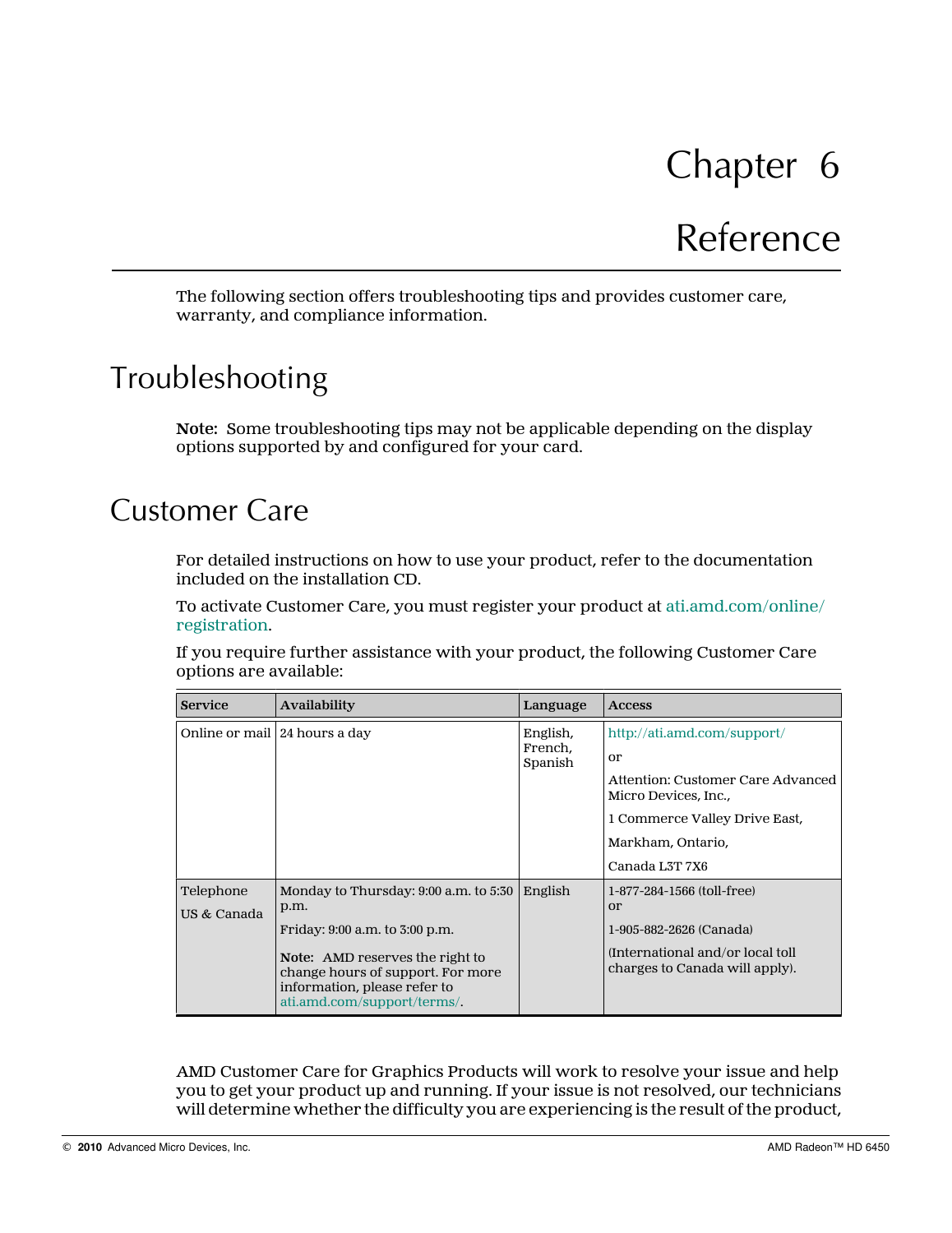# Reference

<span id="page-22-0"></span>The following section offers troubleshooting tips and provides customer care, warranty, and compliance information.

## Troubleshooting

**Note:** Some troubleshooting tips may not be applicable depending on the display options supported by and configured for your card.

## Customer Care

For detailed instructions on how to use your product, refer to the documentation included on the installation CD.

To activate Customer Care, you must register your product at [ati.amd.com/online/](http://www.ati.amd.com/online/registration) [registration.](http://www.ati.amd.com/online/registration)

If you require further assistance with your product, the following Customer Care options are available:

| <b>Service</b>                  | <b>Availability</b>                                                                                                                                                                                                           | Language                       | <b>Access</b>                                                                                                                                                          |
|---------------------------------|-------------------------------------------------------------------------------------------------------------------------------------------------------------------------------------------------------------------------------|--------------------------------|------------------------------------------------------------------------------------------------------------------------------------------------------------------------|
| Online or mail   24 hours a day |                                                                                                                                                                                                                               | English,<br>French,<br>Spanish | http://ati.amd.com/support/<br>or<br>Attention: Customer Care Advanced<br>Micro Devices, Inc.,<br>1 Commerce Valley Drive East,<br>Markham, Ontario,<br>Canada L3T 7X6 |
| Telephone<br>US & Canada        | Monday to Thursday: 9:00 a.m. to 5:30<br>p.m.<br>Friday: 9:00 a.m. to 3:00 p.m.<br><b>Note:</b> AMD reserves the right to<br>change hours of support. For more<br>information, please refer to<br>ati.amd.com/support/terms/. | English                        | 1-877-284-1566 (toll-free)<br>$\alpha$<br>1-905-882-2626 (Canada)<br>(International and/or local toll)<br>charges to Canada will apply).                               |

AMD Customer Care for Graphics Products will work to resolve your issue and help you to get your product up and running. If your issue is not resolved, our technicians will determine whether the difficulty you are experiencing is the result of the product,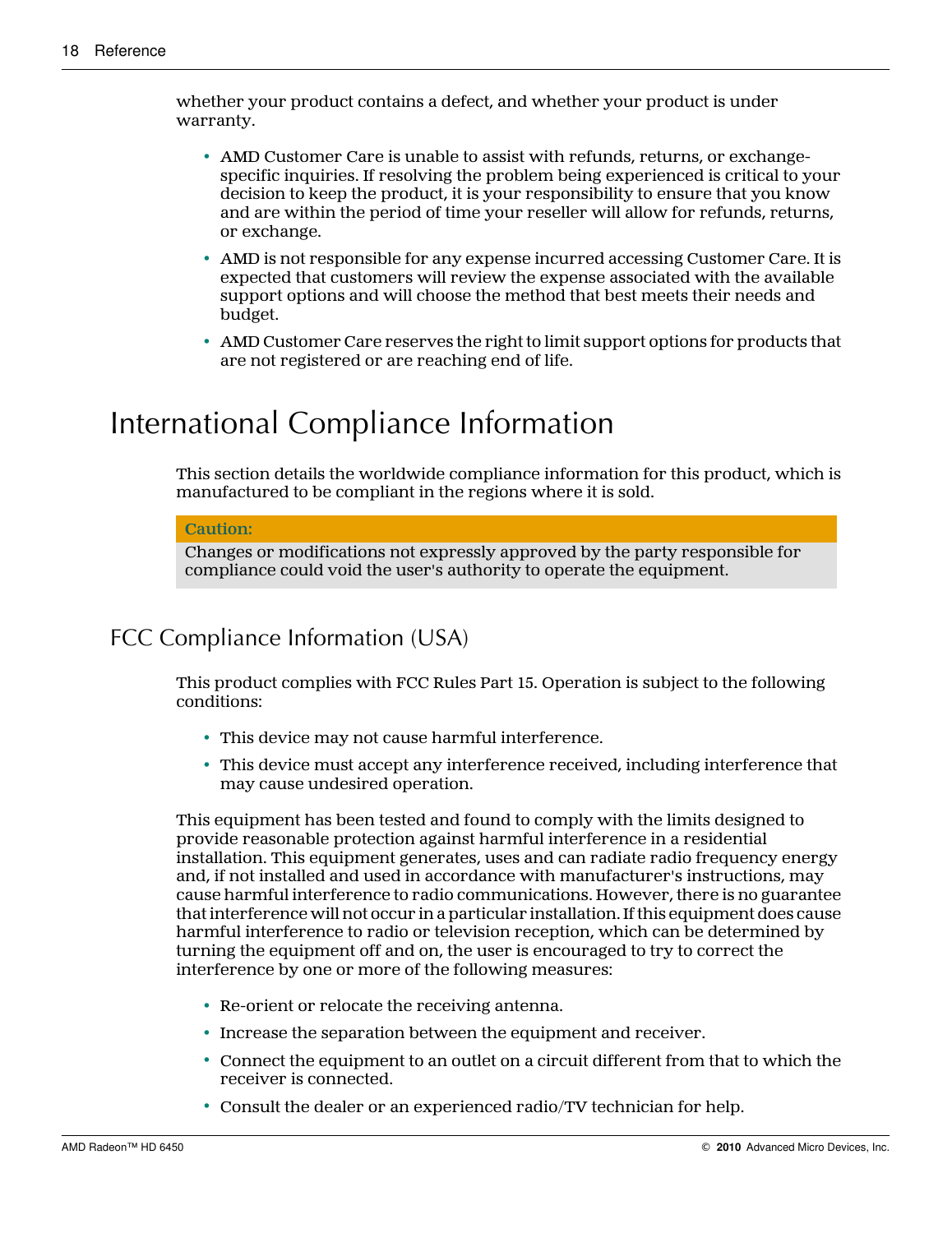<span id="page-23-0"></span>whether your product contains a defect, and whether your product is under warranty.

- AMD Customer Care is unable to assist with refunds, returns, or exchangespecific inquiries. If resolving the problem being experienced is critical to your decision to keep the product, it is your responsibility to ensure that you know and are within the period of time your reseller will allow for refunds, returns, or exchange.
- AMD is not responsible for any expense incurred accessing Customer Care. It is expected that customers will review the expense associated with the available support options and will choose the method that best meets their needs and budget.
- AMD Customer Care reserves the right to limit support options for products that are not registered or are reaching end of life.

### International Compliance Information

This section details the worldwide compliance information for this product, which is manufactured to be compliant in the regions where it is sold.

#### **Caution:**

Changes or modifications not expressly approved by the party responsible for compliance could void the user's authority to operate the equipment.

### FCC Compliance Information (USA)

This product complies with FCC Rules Part 15. Operation is subject to the following conditions:

- This device may not cause harmful interference.
- This device must accept any interference received, including interference that may cause undesired operation.

This equipment has been tested and found to comply with the limits designed to provide reasonable protection against harmful interference in a residential installation. This equipment generates, uses and can radiate radio frequency energy and, if not installed and used in accordance with manufacturer's instructions, may cause harmful interference to radio communications. However, there is no guarantee that interference will not occur in a particular installation. If this equipment does cause harmful interference to radio or television reception, which can be determined by turning the equipment off and on, the user is encouraged to try to correct the interference by one or more of the following measures:

- Re-orient or relocate the receiving antenna.
- Increase the separation between the equipment and receiver.
- Connect the equipment to an outlet on a circuit different from that to which the receiver is connected.
- Consult the dealer or an experienced radio/TV technician for help.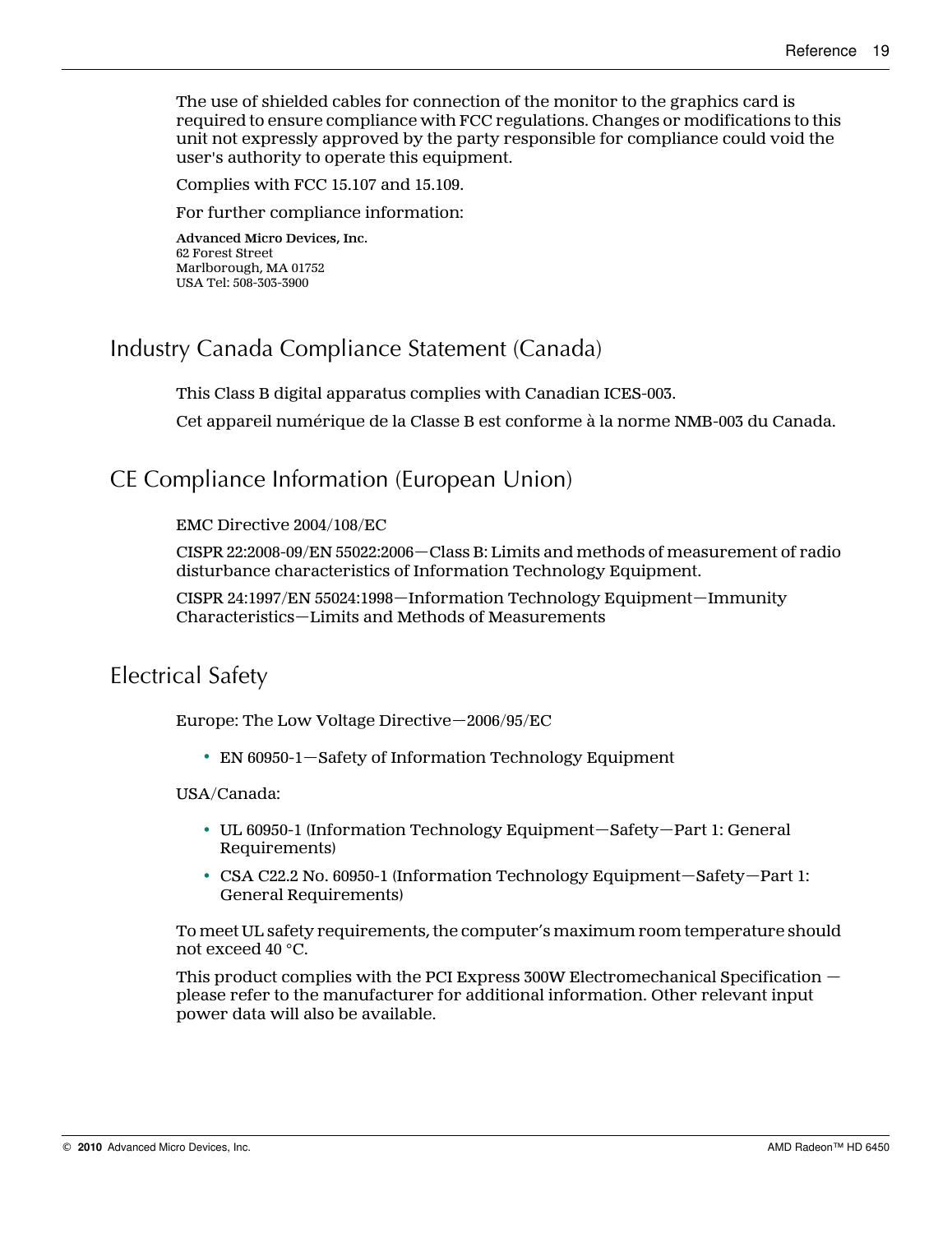<span id="page-24-0"></span>The use of shielded cables for connection of the monitor to the graphics card is required to ensure compliance with FCC regulations. Changes or modifications to this unit not expressly approved by the party responsible for compliance could void the user's authority to operate this equipment.

Complies with FCC 15.107 and 15.109.

For further compliance information:

**Advanced Micro Devices, Inc.** 62 Forest Street Marlborough, MA 01752 USA Tel: 508-303-3900

### Industry Canada Compliance Statement (Canada)

This Class B digital apparatus complies with Canadian ICES-003.

Cet appareil numérique de la Classe B est conforme à la norme NMB-003 du Canada.

### CE Compliance Information (European Union)

#### EMC Directive 2004/108/EC

CISPR 22:2008-09/EN 55022:2006—Class B: Limits and methods of measurement of radio disturbance characteristics of Information Technology Equipment.

CISPR 24:1997/EN 55024:1998—Information Technology Equipment—Immunity Characteristics—Limits and Methods of Measurements

### Electrical Safety

Europe: The Low Voltage Directive—2006/95/EC

• EN 60950-1—Safety of Information Technology Equipment

#### USA/Canada:

- UL 60950-1 (Information Technology Equipment—Safety—Part 1: General Requirements)
- CSA C22.2 No. 60950-1 (Information Technology Equipment—Safety—Part 1: General Requirements)

To meet UL safety requirements, the computer's maximum room temperature should not exceed 40 °C.

This product complies with the PCI Express 300W Electromechanical Specification please refer to the manufacturer for additional information. Other relevant input power data will also be available.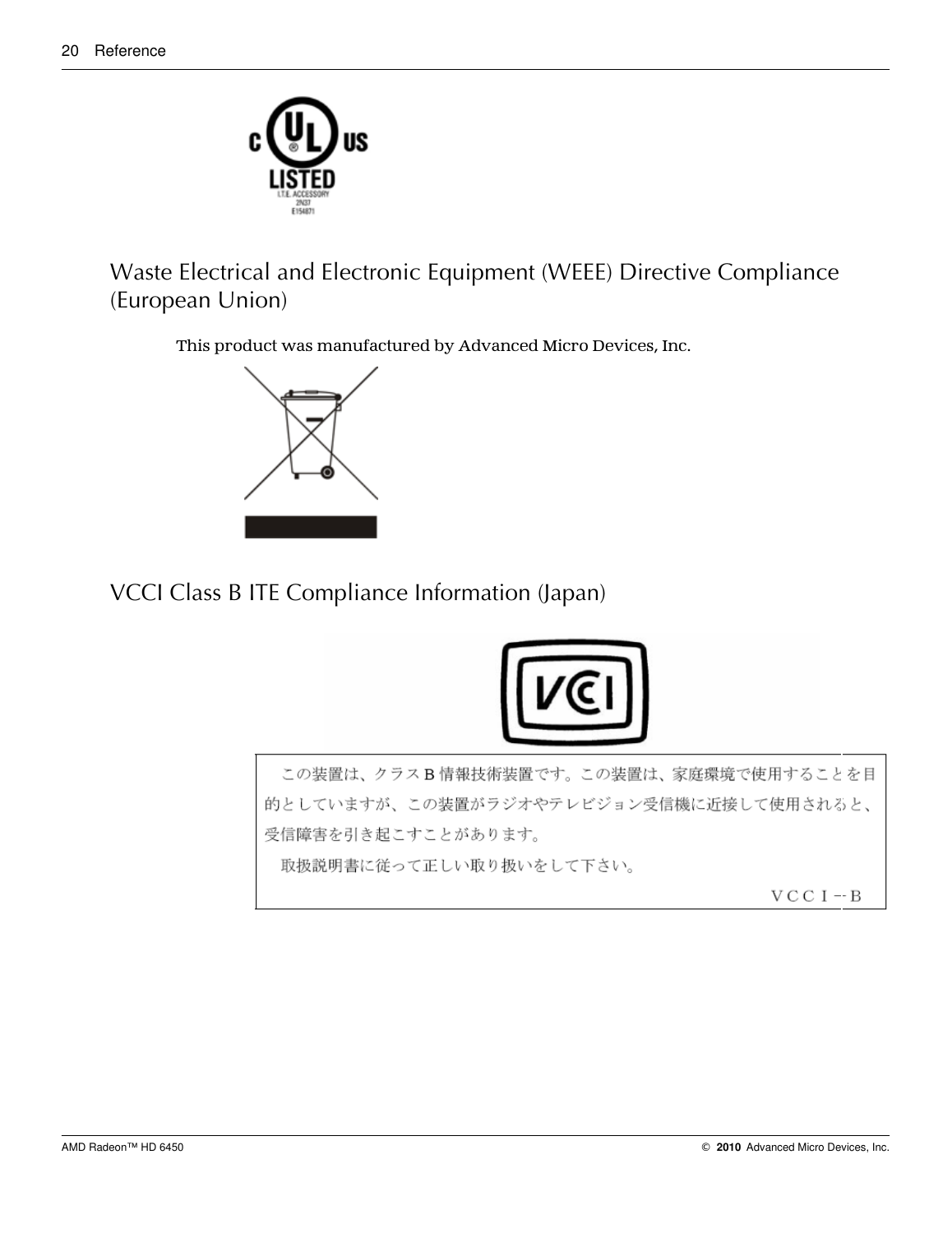<span id="page-25-0"></span>

Waste Electrical and Electronic Equipment (WEEE) Directive Compliance (European Union)

This product was manufactured by Advanced Micro Devices, Inc.



VCCI Class B ITE Compliance Information (Japan)



この装置は、クラスB情報技術装置です。この装置は、家庭環境で使用することを目 的としていますが、この装置がラジオやテレビジョン受信機に近接して使用されると、 受信障害を引き起こすことがあります。 取扱説明書に従って正しい取り扱いをして下さい。

 $V C C I - B$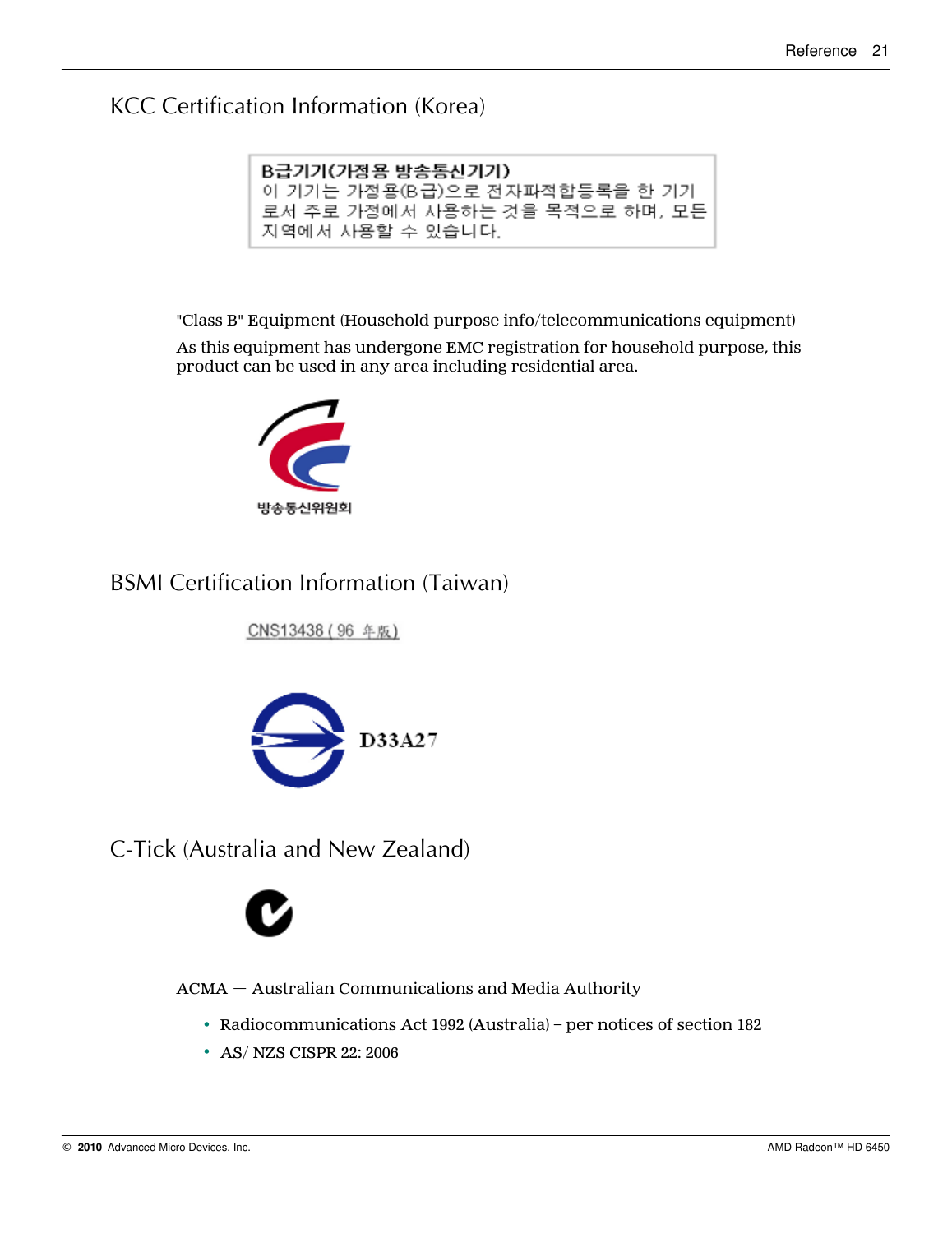### <span id="page-26-0"></span>KCC Certification Information (Korea)

| B급기기(가정용 방송통신기기)               |  |  |
|--------------------------------|--|--|
| 이 기기는 가정용(B급)으로 전자파적합등록을 한 기기  |  |  |
| 로서 주로 가정에서 사용하는 것을 목적으로 하며, 모든 |  |  |
| 지역에서 사용할 수 있습니다.               |  |  |

"Class B" Equipment (Household purpose info/telecommunications equipment)

As this equipment has undergone EMC registration for household purpose, this product can be used in any area including residential area.



### BSMI Certification Information (Taiwan)

CNS13438 (96 年版)



C-Tick (Australia and New Zealand)



ACMA — Australian Communications and Media Authority

- Radiocommunications Act 1992 (Australia) per notices of section 182
- AS/ NZS CISPR 22: 2006